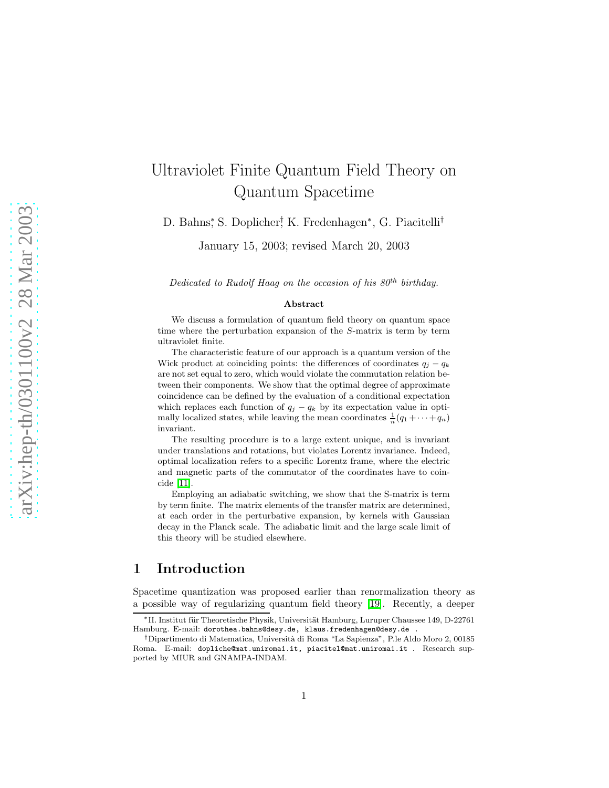# Ultraviolet Finite Quantum Field Theory on Quantum Spacetime

D. Bahns, S. Doplicher, K. Fredenhagen<sup>\*</sup>, G. Piacitelli<sup>†</sup>

January 15, 2003; revised March 20, 2003

*Dedicated to Rudolf Haag on the occasion of his 80*th *birthday.*

#### Abstract

We discuss a formulation of quantum field theory on quantum space time where the perturbation expansion of the S-matrix is term by term ultraviolet finite.

The characteristic feature of our approach is a quantum version of the Wick product at coinciding points: the differences of coordinates  $q_j - q_k$ are not set equal to zero, which would violate the commutation relation between their components. We show that the optimal degree of approximate coincidence can be defined by the evaluation of a conditional expectation which replaces each function of  $q_j - q_k$  by its expectation value in optimally localized states, while leaving the mean coordinates  $\frac{1}{n}(q_1 + \cdots + q_n)$ invariant.

The resulting procedure is to a large extent unique, and is invariant under translations and rotations, but violates Lorentz invariance. Indeed, optimal localization refers to a specific Lorentz frame, where the electric and magnetic parts of the commutator of the coordinates have to coincide [\[11\]](#page-21-0).

Employing an adiabatic switching, we show that the S-matrix is term by term finite. The matrix elements of the transfer matrix are determined, at each order in the perturbative expansion, by kernels with Gaussian decay in the Planck scale. The adiabatic limit and the large scale limit of this theory will be studied elsewhere.

### 1 Introduction

Spacetime quantization was proposed earlier than renormalization theory as a possible way of regularizing quantum field theory [\[19\]](#page-22-0). Recently, a deeper

<sup>\*</sup>II. Institut für Theoretische Physik, Universität Hamburg, Luruper Chaussee 149, D-22761 Hamburg. E-mail: dorothea.bahns@desy.de, klaus.fredenhagen@desy.de .

<sup>†</sup>Dipartimento di Matematica, Universit`a di Roma "La Sapienza", P.le Aldo Moro 2, 00185 Roma. E-mail: dopliche@mat.uniroma1.it, piacitel@mat.uniroma1.it . Research supported by MIUR and GNAMPA-INDAM.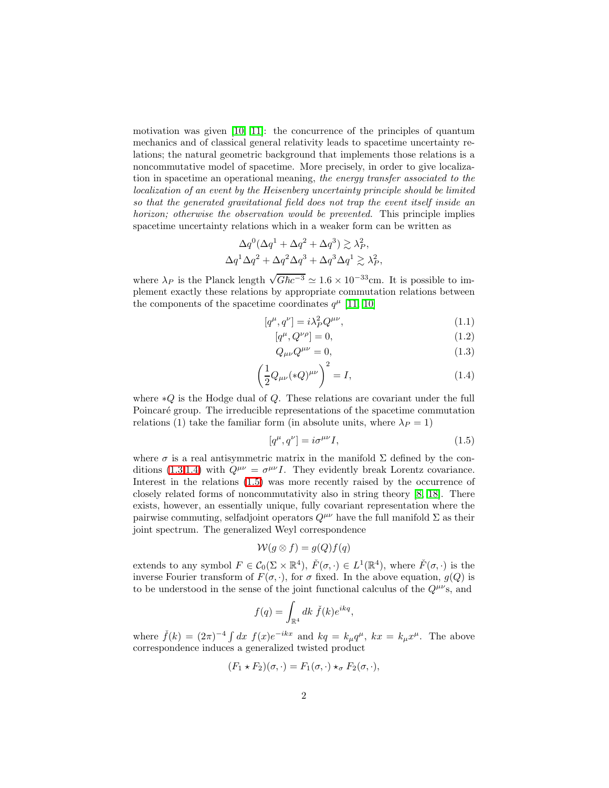motivation was given [\[10,](#page-21-1) [11\]](#page-21-0): the concurrence of the principles of quantum mechanics and of classical general relativity leads to spacetime uncertainty relations; the natural geometric background that implements those relations is a noncommutative model of spacetime. More precisely, in order to give localization in spacetime an operational meaning, *the energy transfer associated to the localization of an event by the Heisenberg uncertainty principle should be limited so that the generated gravitational field does not trap the event itself inside an horizon; otherwise the observation would be prevented.* This principle implies spacetime uncertainty relations which in a weaker form can be written as

$$
\Delta q^0 (\Delta q^1 + \Delta q^2 + \Delta q^3) \gtrsim \lambda_P^2,
$$
  

$$
\Delta q^1 \Delta q^2 + \Delta q^2 \Delta q^3 + \Delta q^3 \Delta q^1 \gtrsim \lambda_P^2,
$$

where  $\lambda_P$  is the Planck length  $\sqrt{G\hbar c^{-3}} \simeq 1.6 \times 10^{-33}$ cm. It is possible to implement exactly these relations by appropriate commutation relations between the components of the spacetime coordinates  $q^{\mu}$  [\[11,](#page-21-0) [10\]](#page-21-1)

$$
[q^{\mu}, q^{\nu}] = i\lambda_P^2 Q^{\mu\nu}, \qquad (1.1)
$$

<span id="page-1-3"></span>
$$
[q^{\mu}, Q^{\nu\rho}] = 0,\tag{1.2}
$$

<span id="page-1-1"></span><span id="page-1-0"></span>
$$
Q_{\mu\nu}Q^{\mu\nu} = 0,\t\t(1.3)
$$

$$
\left(\frac{1}{2}Q_{\mu\nu}(*Q)^{\mu\nu}\right)^2 = I,
$$
\n(1.4)

where  $*Q$  is the Hodge dual of  $Q$ . These relations are covariant under the full Poincaré group. The irreducible representations of the spacetime commutation relations (1) take the familiar form (in absolute units, where  $\lambda_P = 1$ )

<span id="page-1-2"></span>
$$
[q^{\mu}, q^{\nu}] = i\sigma^{\mu\nu} I,\tag{1.5}
$$

where  $\sigma$  is a real antisymmetric matrix in the manifold  $\Sigma$  defined by the con-ditions [\(1.3,](#page-1-0)[1.4\)](#page-1-1) with  $Q^{\mu\nu} = \sigma^{\mu\nu} I$ . They evidently break Lorentz covariance. Interest in the relations [\(1.5\)](#page-1-2) was more recently raised by the occurrence of closely related forms of noncommutativity also in string theory [\[8,](#page-21-2) [18\]](#page-22-1). There exists, however, an essentially unique, fully covariant representation where the pairwise commuting, selfadjoint operators  $Q^{\mu\nu}$  have the full manifold  $\Sigma$  as their joint spectrum. The generalized Weyl correspondence

$$
\mathcal{W}(g \otimes f) = g(Q)f(q)
$$

extends to any symbol  $F \in C_0(\Sigma \times \mathbb{R}^4)$ ,  $\check{F}(\sigma, \cdot) \in L^1(\mathbb{R}^4)$ , where  $\check{F}(\sigma, \cdot)$  is the inverse Fourier transform of  $F(\sigma, \cdot)$ , for  $\sigma$  fixed. In the above equation,  $g(Q)$  is to be understood in the sense of the joint functional calculus of the  $Q^{\mu\nu}$ s, and

$$
f(q) = \int_{\mathbb{R}^4} dk \ \check{f}(k) e^{ikq},
$$

where  $\check{f}(k) = (2\pi)^{-4} \int dx f(x)e^{-ikx}$  and  $kq = k_{\mu}q^{\mu}$ ,  $kx = k_{\mu}x^{\mu}$ . The above correspondence induces a generalized twisted product

$$
(F_1 \star F_2)(\sigma, \cdot) = F_1(\sigma, \cdot) \star_\sigma F_2(\sigma, \cdot),
$$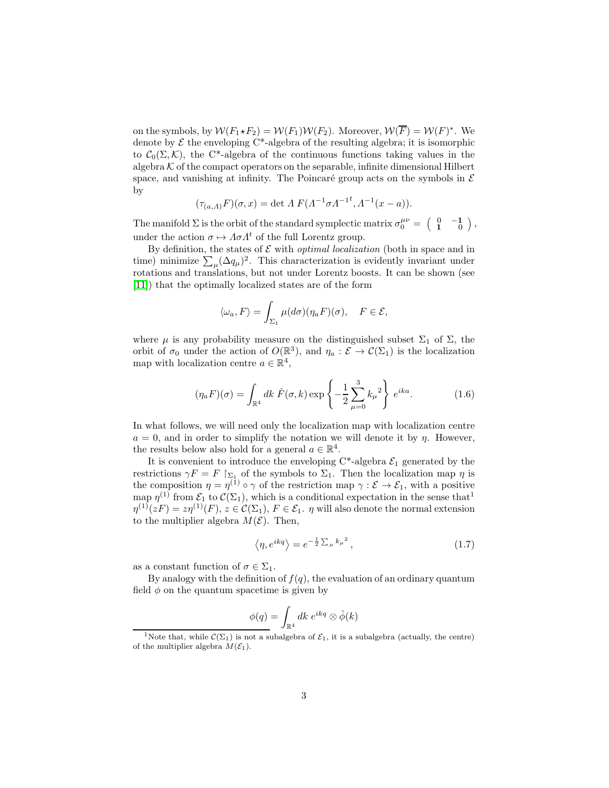on the symbols, by  $W(F_1 \star F_2) = W(F_1)W(F_2)$ . Moreover,  $W(F) = W(F)^*$ . We denote by  $\mathcal E$  the enveloping C<sup>\*</sup>-algebra of the resulting algebra; it is isomorphic to  $\mathcal{C}_0(\Sigma,\mathcal{K})$ , the C<sup>\*</sup>-algebra of the continuous functions taking values in the algebra  $K$  of the compact operators on the separable, infinite dimensional Hilbert space, and vanishing at infinity. The Poincaré group acts on the symbols in  $\mathcal E$ by

$$
(\tau_{(a,\Lambda)}F)(\sigma, x) = \det \Lambda \ F(\Lambda^{-1}\sigma \Lambda^{-1^t}, \Lambda^{-1}(x-a)).
$$

The manifold  $\Sigma$  is the orbit of the standard symplectic matrix  $\sigma_0^{\mu\nu} = \begin{pmatrix} 0 & -1 \\ 1 & 0 \end{pmatrix}$ , under the action  $\sigma \mapsto A \sigma A^t$  of the full Lorentz group.

By definition, the states of  $\mathcal E$  with *optimal localization* (both in space and in time) minimize  $\sum_{\mu} (\Delta q_{\mu})^2$ . This characterization is evidently invariant under rotations and translations, but not under Lorentz boosts. It can be shown (see [\[11\]](#page-21-0)) that the optimally localized states are of the form

<span id="page-2-0"></span>
$$
\langle \omega_a, F \rangle = \int_{\Sigma_1} \mu(d\sigma) (\eta_a F)(\sigma), \quad F \in \mathcal{E},
$$

where  $\mu$  is any probability measure on the distinguished subset  $\Sigma_1$  of  $\Sigma$ , the orbit of  $\sigma_0$  under the action of  $O(\mathbb{R}^3)$ , and  $\eta_a : \mathcal{E} \to \mathcal{C}(\Sigma_1)$  is the localization map with localization centre  $a \in \mathbb{R}^4$ ,

$$
(\eta_a F)(\sigma) = \int_{\mathbb{R}^4} dk \ \check{F}(\sigma, k) \exp\left\{-\frac{1}{2} \sum_{\mu=0}^3 k_{\mu}^2\right\} e^{ika}.
$$
 (1.6)

In what follows, we will need only the localization map with localization centre  $a = 0$ , and in order to simplify the notation we will denote it by  $\eta$ . However, the results below also hold for a general  $a \in \mathbb{R}^4$ .

It is convenient to introduce the enveloping  $C^*$ -algebra  $\mathcal{E}_1$  generated by the restrictions  $\gamma F = F \upharpoonright_{\Sigma_1}$  of the symbols to  $\Sigma_1$ . Then the localization map  $\eta$  is the composition  $\eta = \eta^{(1)} \circ \gamma$  of the restriction map  $\gamma : \mathcal{E} \to \mathcal{E}_1$ , with a positive map  $\eta^{(1)}$  from  $\mathcal{E}_1$  to  $\mathcal{C}(\Sigma_1)$ , which is a conditional expectation in the sense that<sup>1</sup>  $\eta^{(1)}(zF) = z\eta^{(1)}(F), z \in \mathcal{C}(\Sigma_1), F \in \mathcal{E}_1$ .  $\eta$  will also denote the normal extension to the multiplier algebra  $M(\mathcal{E})$ . Then,

<span id="page-2-1"></span>
$$
\langle \eta, e^{ikq} \rangle = e^{-\frac{1}{2} \sum_{\mu} k_{\mu}^{2}}, \qquad (1.7)
$$

as a constant function of  $\sigma \in \Sigma_1$ .

By analogy with the definition of  $f(q)$ , the evaluation of an ordinary quantum field  $\phi$  on the quantum spacetime is given by

$$
\phi(q) = \int_{\mathbb{R}^4} dk \; e^{ikq} \otimes \check{\phi}(k)
$$

<sup>&</sup>lt;sup>1</sup>Note that, while  $\mathcal{C}(\Sigma_1)$  is not a subalgebra of  $\mathcal{E}_1$ , it is a subalgebra (actually, the centre) of the multiplier algebra  $M(\mathcal{E}_1)$ .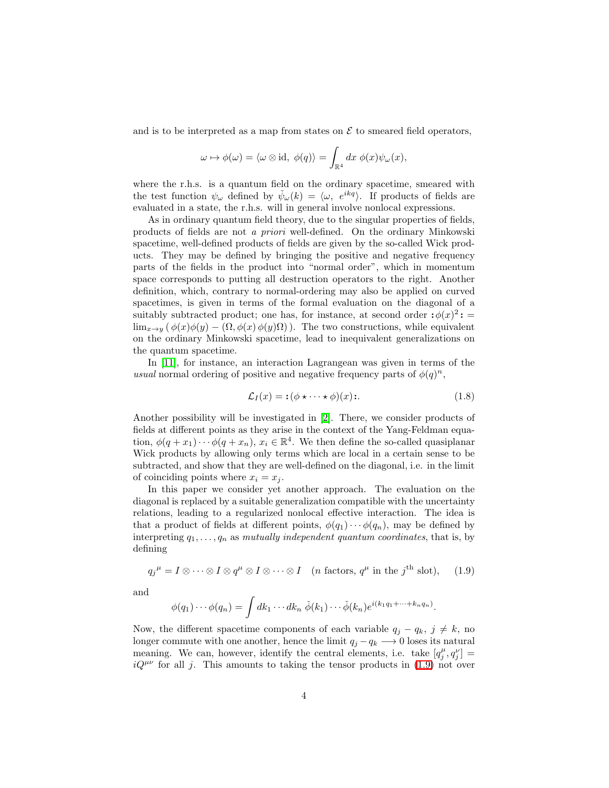and is to be interpreted as a map from states on  $\mathcal E$  to smeared field operators,

$$
\omega \mapsto \phi(\omega) = \langle \omega \otimes id, \phi(q) \rangle = \int_{\mathbb{R}^4} dx \ \phi(x) \psi_{\omega}(x),
$$

where the r.h.s. is a quantum field on the ordinary spacetime, smeared with the test function  $\psi_{\omega}$  defined by  $\check{\psi}_{\omega}(k) = \langle \omega, e^{ikq} \rangle$ . If products of fields are evaluated in a state, the r.h.s. will in general involve nonlocal expressions.

As in ordinary quantum field theory, due to the singular properties of fields, products of fields are not *a priori* well-defined. On the ordinary Minkowski spacetime, well-defined products of fields are given by the so-called Wick products. They may be defined by bringing the positive and negative frequency parts of the fields in the product into "normal order", which in momentum space corresponds to putting all destruction operators to the right. Another definition, which, contrary to normal-ordering may also be applied on curved spacetimes, is given in terms of the formal evaluation on the diagonal of a suitably subtracted product; one has, for instance, at second order  $:\phi(x)^2:$  $\lim_{x\to y} (\phi(x)\phi(y) - (\Omega, \phi(x)\phi(y)\Omega)).$  The two constructions, while equivalent on the ordinary Minkowski spacetime, lead to inequivalent generalizations on the quantum spacetime.

In [\[11\]](#page-21-0), for instance, an interaction Lagrangean was given in terms of the *usual* normal ordering of positive and negative frequency parts of  $\phi(q)^n$ ,

<span id="page-3-1"></span>
$$
\mathcal{L}_I(x) = \mathbf{:\,} (\phi \star \cdots \star \phi)(x) \mathbf{:\,} \tag{1.8}
$$

Another possibility will be investigated in [\[2\]](#page-21-3). There, we consider products of fields at different points as they arise in the context of the Yang-Feldman equation,  $\phi(q+x_1)\cdots\phi(q+x_n)$ ,  $x_i \in \mathbb{R}^4$ . We then define the so-called quasiplanar Wick products by allowing only terms which are local in a certain sense to be subtracted, and show that they are well-defined on the diagonal, i.e. in the limit of coinciding points where  $x_i = x_i$ .

In this paper we consider yet another approach. The evaluation on the diagonal is replaced by a suitable generalization compatible with the uncertainty relations, leading to a regularized nonlocal effective interaction. The idea is that a product of fields at different points,  $\phi(q_1)\cdots\phi(q_n)$ , may be defined by interpreting  $q_1, \ldots, q_n$  as *mutually independent quantum coordinates*, that is, by defining

<span id="page-3-0"></span> $q_j^{\mu} = I \otimes \cdots \otimes I \otimes q^{\mu} \otimes I \otimes \cdots \otimes I$  (*n* factors,  $q^{\mu}$  in the j<sup>th</sup> slot), (1.9)

and

$$
\phi(q_1)\cdots\phi(q_n)=\int dk_1\cdots dk_n \ \check{\phi}(k_1)\cdots\check{\phi}(k_n)e^{i(k_1q_1+\cdots+k_nq_n)}.
$$

Now, the different spacetime components of each variable  $q_i - q_k$ ,  $j \neq k$ , no longer commute with one another, hence the limit  $q_j - q_k \longrightarrow 0$  loses its natural meaning. We can, however, identify the central elements, i.e. take  $[q_j^{\mu}, q_j^{\nu}]$  =  $iQ^{\mu\nu}$  for all j. This amounts to taking the tensor products in [\(1.9\)](#page-3-0) not over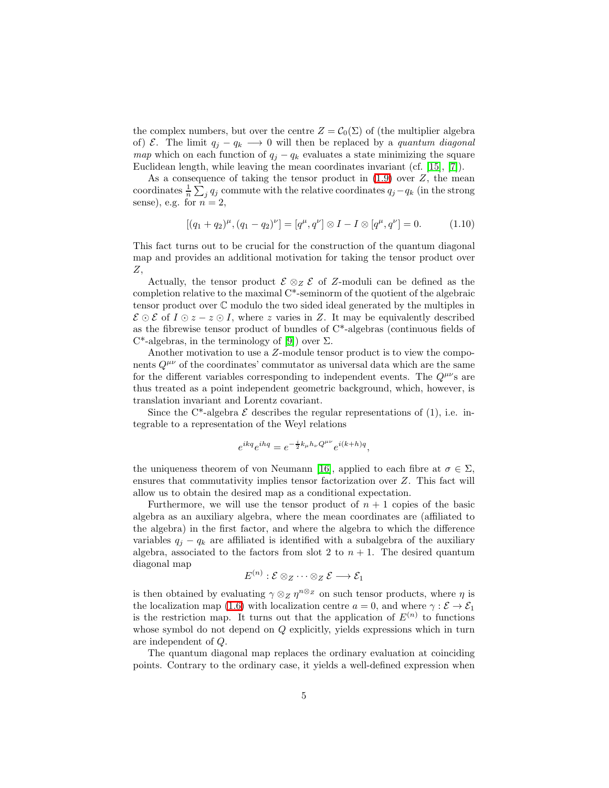the complex numbers, but over the centre  $Z = \mathcal{C}_0(\Sigma)$  of (the multiplier algebra of) E. The limit  $q_i - q_k \longrightarrow 0$  will then be replaced by a *quantum diagonal map* which on each function of  $q_j - q_k$  evaluates a state minimizing the square Euclidean length, while leaving the mean coordinates invariant (cf. [\[15\]](#page-21-4), [\[7\]](#page-21-5)).

As a consequence of taking the tensor product in  $(1.9)$  over  $Z$ , the mean coordinates  $\frac{1}{n} \sum_j q_j$  commute with the relative coordinates  $q_j - q_k$  (in the strong sense), e.g. for  $n = 2$ ,

$$
[(q_1 + q_2)^{\mu}, (q_1 - q_2)^{\nu}] = [q^{\mu}, q^{\nu}] \otimes I - I \otimes [q^{\mu}, q^{\nu}] = 0.
$$
 (1.10)

This fact turns out to be crucial for the construction of the quantum diagonal map and provides an additional motivation for taking the tensor product over Z,

Actually, the tensor product  $\mathcal{E} \otimes_{\mathbb{Z}} \mathcal{E}$  of Z-moduli can be defined as the completion relative to the maximal  $C^*$ -seminorm of the quotient of the algebraic tensor product over C modulo the two sided ideal generated by the multiples in  $\mathcal{E} \odot \mathcal{E}$  of  $I \odot z - z \odot I$ , where z varies in Z. It may be equivalently described as the fibrewise tensor product of bundles of C\*-algebras (continuous fields of  $C^*$ -algebras, in the terminology of [\[9\]](#page-21-6)) over  $\Sigma$ .

Another motivation to use a Z-module tensor product is to view the components  $Q^{\mu\nu}$  of the coordinates' commutator as universal data which are the same for the different variables corresponding to independent events. The  $Q^{\mu\nu}$ s are thus treated as a point independent geometric background, which, however, is translation invariant and Lorentz covariant.

Since the C<sup>\*</sup>-algebra  $\mathcal E$  describes the regular representations of (1), i.e. integrable to a representation of the Weyl relations

$$
e^{ikq}e^{ihq} = e^{-\frac{i}{2}k_{\mu}h_{\nu}Q^{\mu\nu}}e^{i(k+h)q},
$$

the uniqueness theorem of von Neumann [\[16\]](#page-21-7), applied to each fibre at  $\sigma \in \Sigma$ , ensures that commutativity implies tensor factorization over Z. This fact will allow us to obtain the desired map as a conditional expectation.

Furthermore, we will use the tensor product of  $n + 1$  copies of the basic algebra as an auxiliary algebra, where the mean coordinates are (affiliated to the algebra) in the first factor, and where the algebra to which the difference variables  $q_i - q_k$  are affiliated is identified with a subalgebra of the auxiliary algebra, associated to the factors from slot 2 to  $n + 1$ . The desired quantum diagonal map

$$
E^{(n)}:\mathcal{E}\otimes_{Z}\cdots\otimes_{Z}\mathcal{E}\longrightarrow\mathcal{E}_{1}
$$

is then obtained by evaluating  $\gamma \otimes_Z \eta^{n \otimes Z}$  on such tensor products, where  $\eta$  is the localization map [\(1.6\)](#page-2-0) with localization centre  $a = 0$ , and where  $\gamma : \mathcal{E} \to \mathcal{E}_1$ is the restriction map. It turns out that the application of  $E^{(n)}$  to functions whose symbol do not depend on  $Q$  explicitly, yields expressions which in turn are independent of Q.

The quantum diagonal map replaces the ordinary evaluation at coinciding points. Contrary to the ordinary case, it yields a well-defined expression when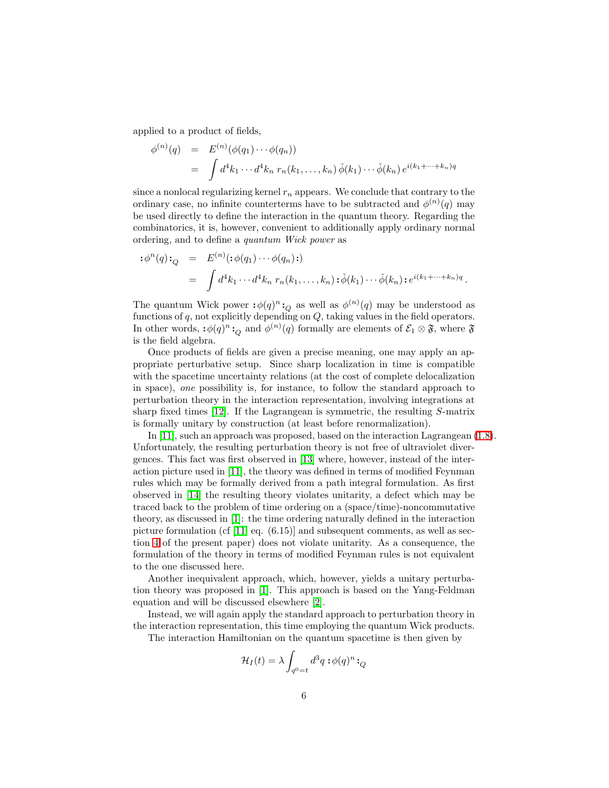applied to a product of fields,

$$
\begin{array}{rcl}\n\phi^{(n)}(q) & = & E^{(n)}(\phi(q_1)\cdots\phi(q_n)) \\
& = & \int d^4k_1\cdots d^4k_n \; r_n(k_1,\ldots,k_n) \, \check{\phi}(k_1)\cdots\check{\phi}(k_n) \, e^{i(k_1+\cdots+k_n)q}\n\end{array}
$$

since a nonlocal regularizing kernel  $r_n$  appears. We conclude that contrary to the ordinary case, no infinite counterterms have to be subtracted and  $\phi^{(n)}(q)$  may be used directly to define the interaction in the quantum theory. Regarding the combinatorics, it is, however, convenient to additionally apply ordinary normal ordering, and to define a *quantum Wick power* as

$$
\begin{array}{rcl}\n\mathbf{\dot{v}}^{n}(q)\mathbf{\dot{v}}_{Q} & = & E^{(n)}(\mathbf{\dot{v}}\phi(q_{1})\cdots\phi(q_{n})\mathbf{\dot{v}}) \\
& = & \int d^{4}k_{1}\cdots d^{4}k_{n} \; r_{n}(k_{1},\ldots,k_{n})\mathbf{\dot{v}}(k_{1})\cdots\check{\phi}(k_{n})\mathbf{\dot{v}}e^{i(k_{1}+\cdots+k_{n})q}\n\end{array}.
$$

The quantum Wick power  $\mathfrak{so}(q)^n \mathfrak{t}_Q$  as well as  $\phi^{(n)}(q)$  may be understood as functions of  $q$ , not explicitly depending on  $Q$ , taking values in the field operators. In other words,  $:\phi(q)^n :_Q$  and  $\phi^{(n)}(q)$  formally are elements of  $\mathcal{E}_1 \otimes \mathfrak{F}$ , where  $\mathfrak{F}$ is the field algebra.

Once products of fields are given a precise meaning, one may apply an appropriate perturbative setup. Since sharp localization in time is compatible with the spacetime uncertainty relations (at the cost of complete delocalization in space), *one* possibility is, for instance, to follow the standard approach to perturbation theory in the interaction representation, involving integrations at sharp fixed times [\[12\]](#page-21-8). If the Lagrangean is symmetric, the resulting S-matrix is formally unitary by construction (at least before renormalization).

In [\[11\]](#page-21-0), such an approach was proposed, based on the interaction Lagrangean [\(1.8\)](#page-3-1). Unfortunately, the resulting perturbation theory is not free of ultraviolet divergences. This fact was first observed in [\[13\]](#page-21-9) where, however, instead of the interaction picture used in [\[11\]](#page-21-0), the theory was defined in terms of modified Feynman rules which may be formally derived from a path integral formulation. As first observed in [\[14\]](#page-21-10) the resulting theory violates unitarity, a defect which may be traced back to the problem of time ordering on a (space/time)-noncommutative theory, as discussed in [\[1\]](#page-20-0): the time ordering naturally defined in the interaction picture formulation (cf [\[11,](#page-21-0) eq. (6.15)] and subsequent comments, as well as section [4](#page-15-0) of the present paper) does not violate unitarity. As a consequence, the formulation of the theory in terms of modified Feynman rules is not equivalent to the one discussed here.

Another inequivalent approach, which, however, yields a unitary perturbation theory was proposed in [\[1\]](#page-20-0). This approach is based on the Yang-Feldman equation and will be discussed elsewhere [\[2\]](#page-21-3).

Instead, we will again apply the standard approach to perturbation theory in the interaction representation, this time employing the quantum Wick products.

The interaction Hamiltonian on the quantum spacetime is then given by

$$
\mathcal{H}_I(t) = \lambda \int_{q^0 = t} d^3q \; \mathbf{i} \phi(q)^n \, \mathbf{i}_Q
$$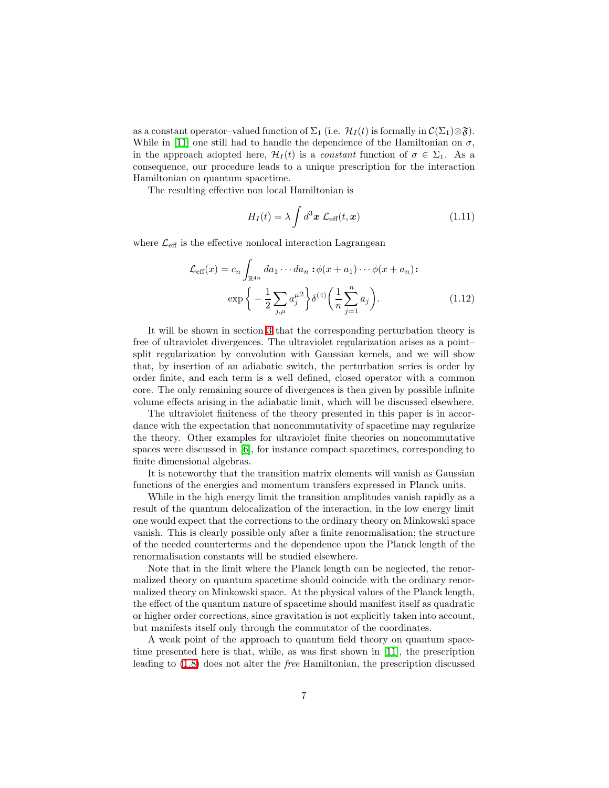as a constant operator–valued function of  $\Sigma_1$  (i.e.  $\mathcal{H}_I(t)$  is formally in  $\mathcal{C}(\Sigma_1)\otimes \mathfrak{F}$ ). While in [\[11\]](#page-21-0) one still had to handle the dependence of the Hamiltonian on  $\sigma$ , in the approach adopted here,  $\mathcal{H}_I(t)$  is a *constant* function of  $\sigma \in \Sigma_1$ . As a consequence, our procedure leads to a unique prescription for the interaction Hamiltonian on quantum spacetime.

The resulting effective non local Hamiltonian is

<span id="page-6-1"></span><span id="page-6-0"></span>
$$
H_I(t) = \lambda \int d^3 \boldsymbol{x} \, \mathcal{L}_{\text{eff}}(t, \boldsymbol{x}) \tag{1.11}
$$

where  $\mathcal{L}_{\text{eff}}$  is the effective nonlocal interaction Lagrangean

$$
\mathcal{L}_{\text{eff}}(x) = c_n \int_{\mathbb{R}^{4n}} da_1 \cdots da_n : \phi(x + a_1) \cdots \phi(x + a_n) :
$$

$$
\exp \left\{ -\frac{1}{2} \sum_{j,\mu} a_j^{\mu^2} \right\} \delta^{(4)} \left( \frac{1}{n} \sum_{j=1}^n a_j \right). \tag{1.12}
$$

It will be shown in section [3](#page-10-0) that the corresponding perturbation theory is free of ultraviolet divergences. The ultraviolet regularization arises as a point– split regularization by convolution with Gaussian kernels, and we will show that, by insertion of an adiabatic switch, the perturbation series is order by order finite, and each term is a well defined, closed operator with a common core. The only remaining source of divergences is then given by possible infinite volume effects arising in the adiabatic limit, which will be discussed elsewhere.

The ultraviolet finiteness of the theory presented in this paper is in accordance with the expectation that noncommutativity of spacetime may regularize the theory. Other examples for ultraviolet finite theories on noncommutative spaces were discussed in [\[6\]](#page-21-11), for instance compact spacetimes, corresponding to finite dimensional algebras.

It is noteworthy that the transition matrix elements will vanish as Gaussian functions of the energies and momentum transfers expressed in Planck units.

While in the high energy limit the transition amplitudes vanish rapidly as a result of the quantum delocalization of the interaction, in the low energy limit one would expect that the corrections to the ordinary theory on Minkowski space vanish. This is clearly possible only after a finite renormalisation; the structure of the needed counterterms and the dependence upon the Planck length of the renormalisation constants will be studied elsewhere.

Note that in the limit where the Planck length can be neglected, the renormalized theory on quantum spacetime should coincide with the ordinary renormalized theory on Minkowski space. At the physical values of the Planck length, the effect of the quantum nature of spacetime should manifest itself as quadratic or higher order corrections, since gravitation is not explicitly taken into account, but manifests itself only through the commutator of the coordinates.

A weak point of the approach to quantum field theory on quantum spacetime presented here is that, while, as was first shown in [\[11\]](#page-21-0), the prescription leading to [\(1.8\)](#page-3-1) does not alter the *free* Hamiltonian, the prescription discussed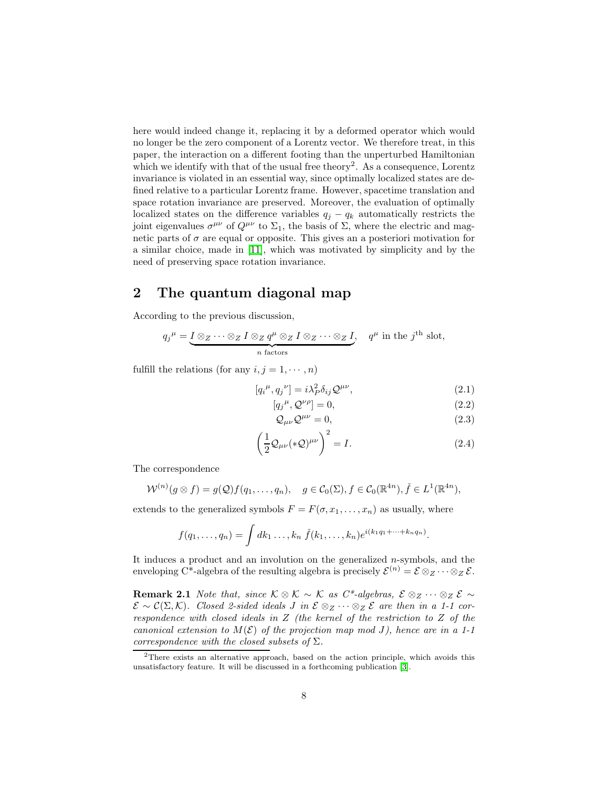here would indeed change it, replacing it by a deformed operator which would no longer be the zero component of a Lorentz vector. We therefore treat, in this paper, the interaction on a different footing than the unperturbed Hamiltonian which we identify with that of the usual free theory<sup>2</sup>. As a consequence, Lorentz invariance is violated in an essential way, since optimally localized states are defined relative to a particular Lorentz frame. However, spacetime translation and space rotation invariance are preserved. Moreover, the evaluation of optimally localized states on the difference variables  $q_j - q_k$  automatically restricts the joint eigenvalues  $\sigma^{\mu\nu}$  of  $Q^{\mu\nu}$  to  $\Sigma_1$ , the basis of  $\Sigma$ , where the electric and magnetic parts of  $\sigma$  are equal or opposite. This gives an a posteriori motivation for a similar choice, made in [\[11\]](#page-21-0), which was motivated by simplicity and by the need of preserving space rotation invariance.

### 2 The quantum diagonal map

According to the previous discussion,

$$
q_j^{\mu} = \underbrace{I \otimes_Z \cdots \otimes_Z I \otimes_Z q^{\mu} \otimes_Z I \otimes_Z \cdots \otimes_Z I}_{n \text{ factors}}, \quad q^{\mu} \text{ in the } j^{\text{th}} \text{ slot},
$$

fulfill the relations (for any  $i, j = 1, \dots, n$ )

$$
[q_i^{\mu}, q_j^{\nu}] = i\lambda_P^2 \delta_{ij} \mathcal{Q}^{\mu\nu}, \qquad (2.1)
$$

<span id="page-7-0"></span>
$$
[q_j^{\mu}, \mathcal{Q}^{\nu \rho}] = 0,\tag{2.2}
$$

<span id="page-7-1"></span>
$$
\mathcal{Q}_{\mu\nu}\mathcal{Q}^{\mu\nu} = 0,\tag{2.3}
$$

$$
\left(\frac{1}{2}\mathcal{Q}_{\mu\nu}(*\mathcal{Q})^{\mu\nu}\right)^2 = I.
$$
\n(2.4)

The correspondence

$$
\mathcal{W}^{(n)}(g\otimes f)=g(\mathcal{Q})f(q_1,\ldots,q_n),\quad g\in\mathcal{C}_0(\Sigma), f\in\mathcal{C}_0(\mathbb{R}^{4n}),\check{f}\in L^1(\mathbb{R}^{4n}),
$$

extends to the generalized symbols  $F = F(\sigma, x_1, \ldots, x_n)$  as usually, where

$$
f(q_1,\ldots,q_n)=\int dk_1\ldots,k_n\,\check{f}(k_1,\ldots,k_n)e^{i(k_1q_1+\cdots+k_nq_n)}.
$$

<span id="page-7-2"></span>It induces a product and an involution on the generalized  $n$ -symbols, and the enveloping C<sup>\*</sup>-algebra of the resulting algebra is precisely  $\mathcal{E}^{(n)} = \mathcal{E} \otimes_Z \cdots \otimes_Z \mathcal{E}$ .

**Remark 2.1** *Note that, since*  $K \otimes K \sim K$  *as C\*-algebras,*  $\mathcal{E} \otimes_Z \cdots \otimes_Z \mathcal{E} \sim$  $\mathcal{E} \sim \mathcal{C}(\Sigma, \mathcal{K})$ . Closed 2-sided ideals J in  $\mathcal{E} \otimes_Z \cdots \otimes_Z \mathcal{E}$  are then in a 1-1 cor*respondence with closed ideals in* Z *(the kernel of the restriction to* Z *of the canonical extension to*  $M(\mathcal{E})$  *of the projection map mod J), hence are in a 1-1 correspondence with the closed subsets of* Σ*.*

 $2$ There exists an alternative approach, based on the action principle, which avoids this unsatisfactory feature. It will be discussed in a forthcoming publication [\[3\]](#page-21-12).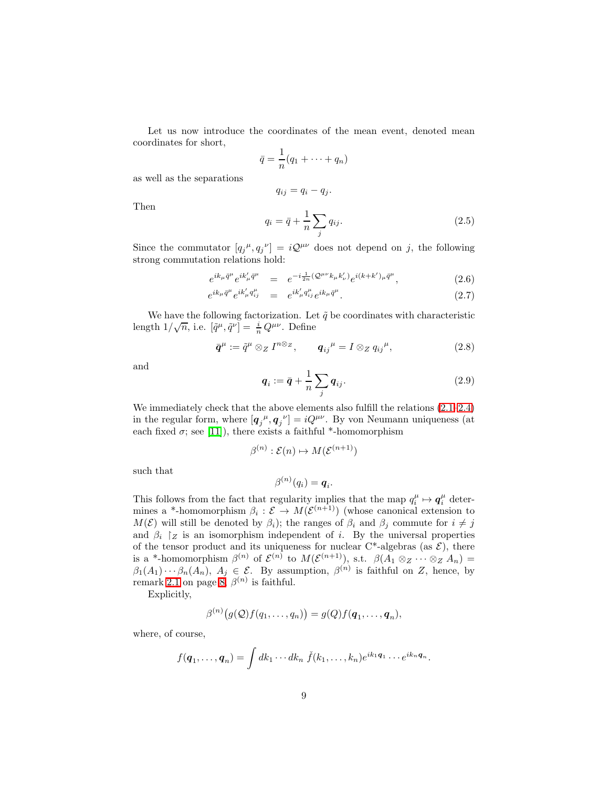Let us now introduce the coordinates of the mean event, denoted mean coordinates for short,

$$
\bar{q} = \frac{1}{n}(q_1 + \dots + q_n)
$$

as well as the separations

$$
q_{ij}=q_i-q_j.
$$

Then

$$
q_i = \bar{q} + \frac{1}{n} \sum_j q_{ij}.
$$
\n
$$
(2.5)
$$

<span id="page-8-1"></span>Since the commutator  $[q_j^{\mu}, q_j^{\nu}] = iQ^{\mu\nu}$  does not depend on j, the following strong commutation relations hold:

$$
e^{ik_{\mu}\bar{q}^{\mu}}e^{ik'_{\mu}\bar{q}^{\mu}} = e^{-i\frac{1}{2n}(\mathcal{Q}^{\mu\nu}k_{\mu}k'_{\nu})}e^{i(k+k')_{\mu}\bar{q}^{\mu}}, \qquad (2.6)
$$

$$
e^{ik_{\mu}\bar{q}^{\mu}}e^{ik'_{\mu}q^{\mu}_{ij}} = e^{ik'_{\mu}q^{\mu}_{ij}}e^{ik_{\mu}\bar{q}^{\mu}}.
$$
\n(2.7)

We have the following factorization. Let  $\tilde{q}$  be coordinates with characteristic length  $1/\sqrt{n}$ , i.e.  $[\tilde{q}^{\mu}, \tilde{q}^{\nu}] = \frac{i}{n} Q^{\mu\nu}$ . Define

$$
\bar{q}^{\mu} := \tilde{q}^{\mu} \otimes_Z I^{n \otimes_Z}, \qquad \mathbf{q}_{ij}^{\mu} = I \otimes_Z q_{ij}^{\mu}, \tag{2.8}
$$

<span id="page-8-0"></span>and

$$
\boldsymbol{q}_i := \bar{\boldsymbol{q}} + \frac{1}{n} \sum_j \boldsymbol{q}_{ij}.
$$
\n(2.9)

We immediately check that the above elements also fulfill the relations  $(2.1-2.4)$  $(2.1-2.4)$ in the regular form, where  $[q_j^{\mu}, q_j^{\nu}] = iQ^{\mu\nu}$ . By von Neumann uniqueness (at each fixed  $\sigma$ ; see [\[11\]](#page-21-0)), there exists a faithful \*-homomorphism

$$
\beta^{(n)} : \mathcal{E}(n) \mapsto M(\mathcal{E}^{(n+1)})
$$

such that

$$
\beta^{(n)}(q_i) = \boldsymbol{q}_i.
$$

This follows from the fact that regularity implies that the map  $q_i^{\mu} \mapsto q_i^{\mu}$  determines a \*-homomorphism  $\beta_i : \mathcal{E} \to M(\mathcal{E}^{(n+1)})$  (whose canonical extension to  $M(\mathcal{E})$  will still be denoted by  $\beta_i$ ); the ranges of  $\beta_i$  and  $\beta_j$  commute for  $i \neq j$ and  $\beta_i$  |z is an isomorphism independent of i. By the universal properties of the tensor product and its uniqueness for nuclear  $C^*$ -algebras (as  $\mathcal{E}$ ), there is a \*-homomorphism  $\beta^{(n)}$  of  $\mathcal{E}^{(n)}$  to  $M(\mathcal{E}^{(n+1)})$ , s.t.  $\beta(A_1 \otimes_Z \cdots \otimes_Z A_n) =$  $\beta_1(A_1)\cdots\beta_n(A_n),\ A_j\in\mathcal{E}.$  By assumption,  $\beta^{(n)}$  is faithful on Z, hence, by remark [2.1](#page-7-2) on page [8,](#page-7-2)  $\beta^{(n)}$  is faithful.

Explicitly,

$$
\beta^{(n)}(g(\mathcal{Q})f(q_1,\ldots,q_n))=g(Q)f(\boldsymbol{q}_1,\ldots,\boldsymbol{q}_n),
$$

where, of course,

$$
f(\boldsymbol{q}_1,\ldots,\boldsymbol{q}_n)=\int dk_1\cdots dk_n \ \check{f}(k_1,\ldots,k_n)e^{ik_1\boldsymbol{q}_1}\cdots e^{ik_n\boldsymbol{q}_n}.
$$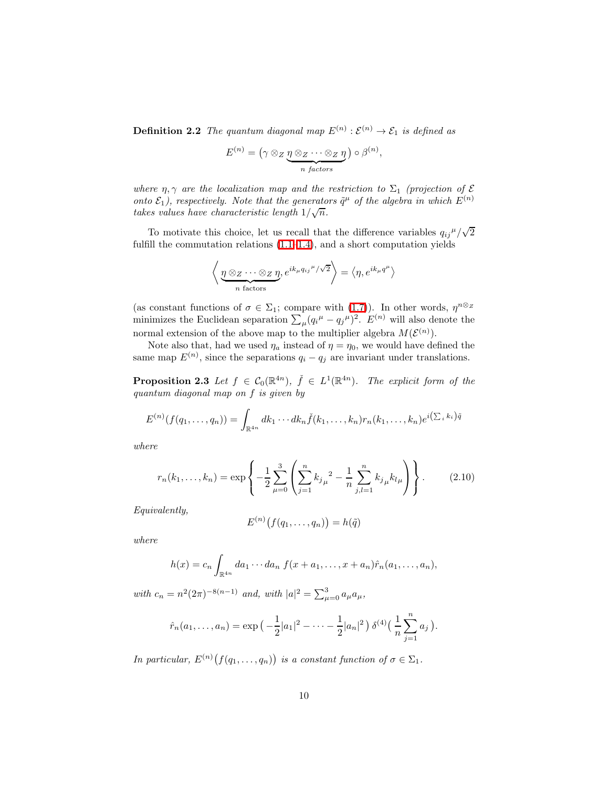**Definition 2.2** The quantum diagonal map  $E^{(n)} : \mathcal{E}^{(n)} \to \mathcal{E}_1$  is defined as

$$
E^{(n)} = (\gamma \otimes_Z \underbrace{\eta \otimes_Z \cdots \otimes_Z \eta}_{n \text{ factors}}) \circ \beta^{(n)},
$$

*where*  $\eta$ ,  $\gamma$  *are the localization map and the restriction to*  $\Sigma_1$  *(projection of*  $\mathcal{E}$ *onto*  $\mathcal{E}_1$ *), respectively. Note that the generators*  $\tilde{q}^{\mu}$  *of the algebra in which*  $E^{(n)}$ *takes values have characteristic length*  $1/\sqrt{n}$ .

To motivate this choice, let us recall that the difference variables  $q_{ij}^{\mu}/\sqrt{2}$ fulfill the commutation relations  $(1.1-1.4)$ , and a short computation yields

$$
\left\langle \underbrace{\eta \otimes_Z \cdots \otimes_Z \eta}_{n \text{ factors}}, e^{ik_\mu q_{ij}{}^\mu/\sqrt{2}} \right\rangle = \left\langle \eta, e^{ik_\mu q^\mu} \right\rangle
$$

(as constant functions of  $\sigma \in \Sigma_1$ ; compare with [\(1.7\)](#page-2-1)). In other words,  $\eta^{n\otimes z}$ minimizes the Euclidean separation  $\sum_{\mu} (q_i^{\mu} - q_j^{\mu})^2$ .  $E^{(n)}$  will also denote the normal extension of the above map to the multiplier algebra  $M(\mathcal{E}^{(n)})$ .

Note also that, had we used  $\eta_a$  instead of  $\eta = \eta_0$ , we would have defined the same map  $E^{(n)}$ , since the separations  $q_i - q_j$  are invariant under translations.

**Proposition 2.3** Let  $f \in C_0(\mathbb{R}^{4n})$ ,  $\check{f} \in L^1(\mathbb{R}^{4n})$ . The explicit form of the *quantum diagonal map on* f *is given by*

$$
E^{(n)}(f(q_1,\ldots,q_n))=\int_{\mathbb{R}^{4n}}dk_1\cdots dk_n\check{f}(k_1,\ldots,k_n)r_n(k_1,\ldots,k_n)e^{i(\sum_i k_i)\check{q}}
$$

<span id="page-9-0"></span>*where*

$$
r_n(k_1,\ldots,k_n) = \exp\left\{-\frac{1}{2}\sum_{\mu=0}^3 \left(\sum_{j=1}^n k_{j\mu}^2 - \frac{1}{n}\sum_{j,l=1}^n k_{j\mu}k_{l\mu}\right)\right\}.
$$
 (2.10)

*Equivalently,*

$$
E^{(n)}\big(f(q_1,\ldots,q_n)\big)=h(\tilde{q})
$$

*where*

$$
h(x) = c_n \int_{\mathbb{R}^{4n}} da_1 \cdots da_n f(x + a_1, \ldots, x + a_n) \hat{r}_n(a_1, \ldots, a_n),
$$

*with*  $c_n = n^2 (2\pi)^{-8(n-1)}$  *and, with*  $|a|^2 = \sum_{\mu=0}^3 a_{\mu} a_{\mu}$ ,

$$
\hat{r}_n(a_1,\ldots,a_n) = \exp\left(-\frac{1}{2}|a_1|^2 - \cdots - \frac{1}{2}|a_n|^2\right)\delta^{(4)}\left(\frac{1}{n}\sum_{j=1}^n a_j\right).
$$

*In particular,*  $E^{(n)}(f(q_1, \ldots, q_n))$  *is a constant function of*  $\sigma \in \Sigma_1$ *.*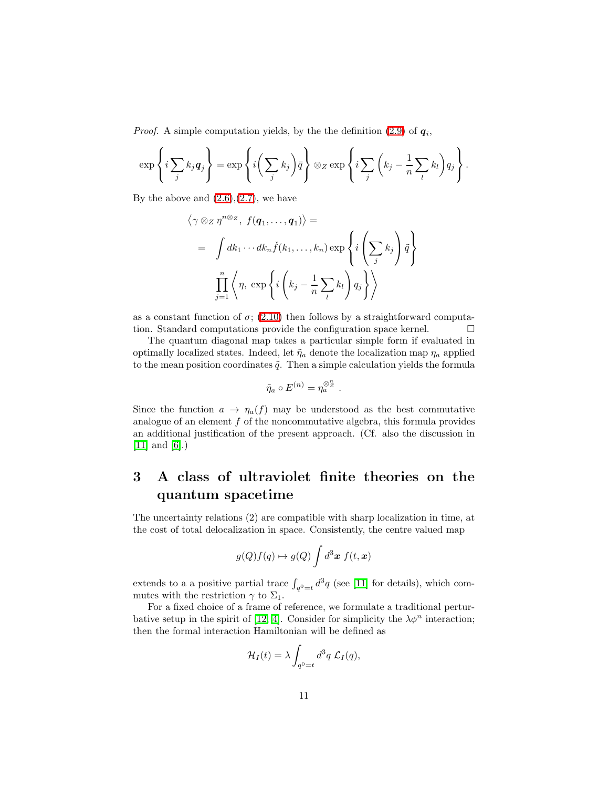*Proof.* A simple computation yields, by the the definition  $(2.9)$  of  $q_i$ ,

$$
\exp\left\{i\sum_j k_j\mathbf{q}_j\right\} = \exp\left\{i\bigg(\sum_j k_j\bigg)\bar{q}\right\}\otimes_Z \exp\left\{i\sum_j\bigg(k_j-\frac{1}{n}\sum_l k_l\bigg)q_j\right\}.
$$

By the above and  $(2.6),(2.7)$  $(2.6),(2.7)$ , we have

$$
\langle \gamma \otimes_{Z} \eta^{n \otimes_{Z}} , f(q_{1},...,q_{1}) \rangle =
$$
  
=  $\int dk_{1} \cdots dk_{n} \check{f}(k_{1},...,k_{n}) \exp \left\{ i \left( \sum_{j} k_{j} \right) \tilde{q} \right\}$   

$$
\prod_{j=1}^{n} \left\langle \eta, \exp \left\{ i \left( k_{j} - \frac{1}{n} \sum_{l} k_{l} \right) q_{j} \right\} \right\rangle
$$

as a constant function of  $\sigma$ ; [\(2.10\)](#page-9-0) then follows by a straightforward computation. Standard computations provide the configuration space kernel.

The quantum diagonal map takes a particular simple form if evaluated in optimally localized states. Indeed, let  $\tilde{\eta}_a$  denote the localization map  $\eta_a$  applied to the mean position coordinates  $\tilde{q}$ . Then a simple calculation yields the formula

$$
\tilde{\eta}_a \circ E^{(n)} = \eta_a^{\otimes \frac{n}{Z}}.
$$

Since the function  $a \to \eta_a(f)$  may be understood as the best commutative analogue of an element  $f$  of the noncommutative algebra, this formula provides an additional justification of the present approach. (Cf. also the discussion in [\[11\]](#page-21-0) and [\[6\]](#page-21-11).)

## <span id="page-10-0"></span>3 A class of ultraviolet finite theories on the quantum spacetime

The uncertainty relations (2) are compatible with sharp localization in time, at the cost of total delocalization in space. Consistently, the centre valued map

$$
g(Q)f(q) \mapsto g(Q) \int d^3x \ f(t, x)
$$

extends to a a positive partial trace  $\int_{q^0=t} d^3q$  (see [\[11\]](#page-21-0) for details), which commutes with the restriction  $\gamma$  to  $\Sigma_1$ .

For a fixed choice of a frame of reference, we formulate a traditional pertur-bative setup in the spirit of [\[12,](#page-21-8) [4\]](#page-21-13). Consider for simplicity the  $\lambda \phi^n$  interaction; then the formal interaction Hamiltonian will be defined as

$$
\mathcal{H}_I(t) = \lambda \int_{q^0 = t} d^3q \mathcal{L}_I(q),
$$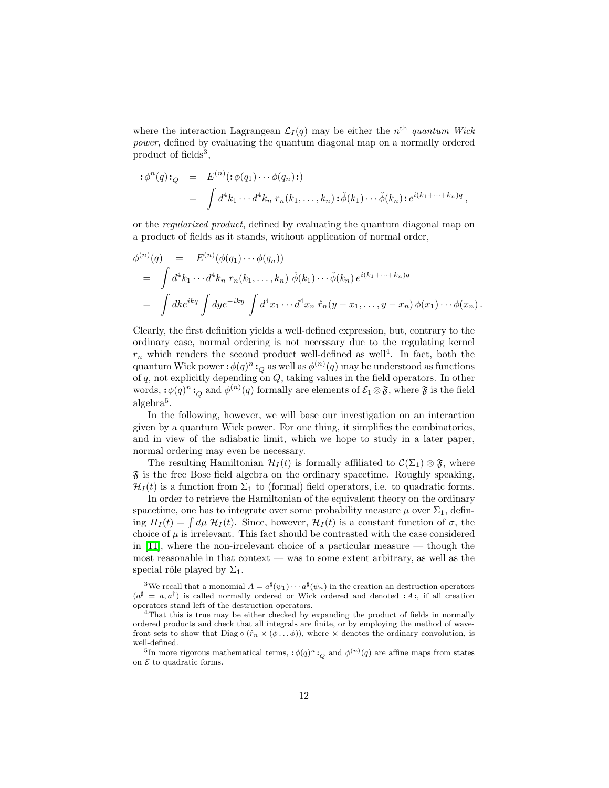where the interaction Lagrangean  $\mathcal{L}_I(q)$  may be either the  $n^{\text{th}}$  *quantum Wick power*, defined by evaluating the quantum diagonal map on a normally ordered product of fields<sup>3</sup>,

$$
\begin{array}{rcl}\n\mathbf{i}\phi^n(q)\mathbf{i}_Q &=& E^{(n)}(\mathbf{i}\phi(q_1)\cdots\phi(q_n)\mathbf{i}) \\
&=& \int d^4k_1\cdots d^4k_n \ r_n(k_1,\ldots,k_n)\mathbf{i}\check{\phi}(k_1)\cdots\check{\phi}(k_n)\mathbf{i}\,e^{i(k_1+\cdots+k_n)q}\,,\n\end{array}
$$

or the *regularized product*, defined by evaluating the quantum diagonal map on a product of fields as it stands, without application of normal order,

$$
\begin{split}\n\phi^{(n)}(q) &= E^{(n)}(\phi(q_1)\cdots\phi(q_n)) \\
&= \int d^4k_1\cdots d^4k_n \ r_n(k_1,\ldots,k_n) \ \check{\phi}(k_1)\cdots\check{\phi}(k_n) \, e^{i(k_1+\cdots+k_n)q} \\
&= \int dk e^{ikq} \int dy e^{-iky} \int d^4x_1\cdots d^4x_n \ \hat{r}_n(y-x_1,\ldots,y-x_n) \, \phi(x_1)\cdots\phi(x_n)\,.\n\end{split}
$$

Clearly, the first definition yields a well-defined expression, but, contrary to the ordinary case, normal ordering is not necessary due to the regulating kernel  $r_n$  which renders the second product well-defined as well<sup>4</sup>. In fact, both the quantum Wick power  $:\! \phi(q)^n \! :_Q \text{ as well as } \phi^{(n)}(q)$  may be understood as functions of q, not explicitly depending on  $Q$ , taking values in the field operators. In other words,  $:\phi(q)^n:_{Q}$  and  $\phi^{(n)}(q)$  formally are elements of  $\mathcal{E}_1 \otimes \mathfrak{F}$ , where  $\mathfrak{F}$  is the field  $algebra<sup>5</sup>$ .

In the following, however, we will base our investigation on an interaction given by a quantum Wick power. For one thing, it simplifies the combinatorics, and in view of the adiabatic limit, which we hope to study in a later paper, normal ordering may even be necessary.

The resulting Hamiltonian  $\mathcal{H}_I(t)$  is formally affiliated to  $\mathcal{C}(\Sigma_1) \otimes \mathfrak{F}$ , where  $\mathfrak F$  is the free Bose field algebra on the ordinary spacetime. Roughly speaking,  $\mathcal{H}_I(t)$  is a function from  $\Sigma_1$  to (formal) field operators, i.e. to quadratic forms.

In order to retrieve the Hamiltonian of the equivalent theory on the ordinary spacetime, one has to integrate over some probability measure  $\mu$  over  $\Sigma_1$ , defining  $H_I(t) = \int d\mu \mathcal{H}_I(t)$ . Since, however,  $\mathcal{H}_I(t)$  is a constant function of  $\sigma$ , the choice of  $\mu$  is irrelevant. This fact should be contrasted with the case considered in [\[11\]](#page-21-0), where the non-irrelevant choice of a particular measure  $-$  though the most reasonable in that context — was to some extent arbitrary, as well as the special rôle played by  $\Sigma_1$ .

<sup>&</sup>lt;sup>3</sup>We recall that a monomial  $A = a^{\sharp}(\psi_1) \cdots a^{\sharp}(\psi_n)$  in the creation an destruction operators  $(a^{\sharp} = a, a^{\dagger})$  is called normally ordered or Wick ordered and denoted :A:, if all creation operators stand left of the destruction operators.

<sup>&</sup>lt;sup>4</sup>That this is true may be either checked by expanding the product of fields in normally ordered products and check that all integrals are finite, or by employing the method of wavefront sets to show that Diag  $\circ (\hat{r}_n \times (\phi \dots \phi))$ , where  $\times$  denotes the ordinary convolution, is well-defined.

<sup>&</sup>lt;sup>5</sup>In more rigorous mathematical terms,  $:\! \phi(q)^n :_Q$  and  $\phi^{(n)}(q)$  are affine maps from states on  $\mathcal E$  to quadratic forms.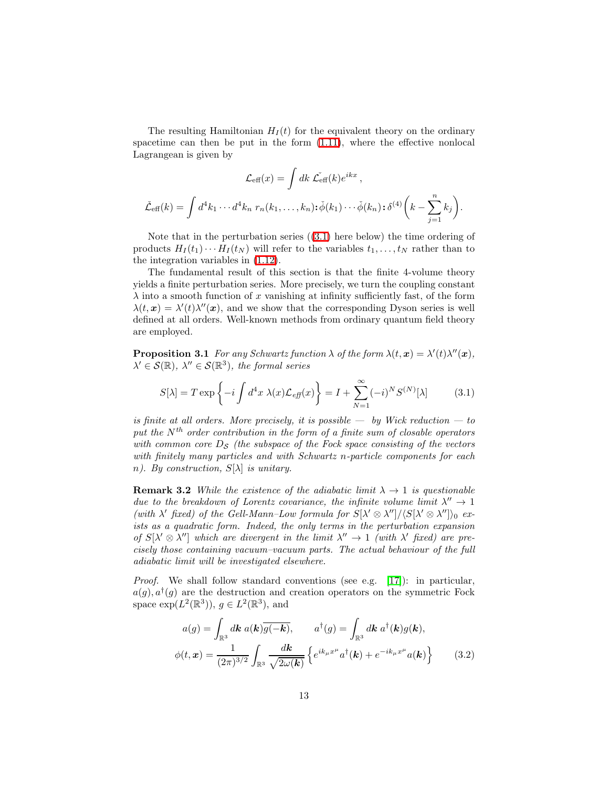The resulting Hamiltonian  $H_I(t)$  for the equivalent theory on the ordinary spacetime can then be put in the form [\(1.11\)](#page-6-0), where the effective nonlocal Lagrangean is given by

$$
\mathcal{L}_{\text{eff}}(x) = \int dk \ \tilde{\mathcal{L}_{\text{eff}}}(k) e^{ikx},
$$

$$
\tilde{\mathcal{L}}_{\text{eff}}(k) = \int d^4 k_1 \cdots d^4 k_n \ r_n(k_1, \ldots, k_n) \, \dot{\phi}(k_1) \cdots \dot{\phi}(k_n) \, \dot{\delta}^{(4)} \bigg(k - \sum_{j=1}^n k_j\bigg).
$$

Note that in the perturbation series  $((3.1)$  $((3.1)$  here below) the time ordering of products  $H_I(t_1)\cdots H_I(t_N)$  will refer to the variables  $t_1,\ldots,t_N$  rather than to the integration variables in [\(1.12\)](#page-6-1).

The fundamental result of this section is that the finite 4-volume theory yields a finite perturbation series. More precisely, we turn the coupling constant  $\lambda$  into a smooth function of x vanishing at infinity sufficiently fast, of the form  $\lambda(t, x) = \lambda'(t)\lambda''(x)$ , and we show that the corresponding Dyson series is well defined at all orders. Well-known methods from ordinary quantum field theory are employed.

**Proposition 3.1** *For any Schwartz function*  $\lambda$  *of the form*  $\lambda(t, x) = \lambda'(t)\lambda''(x)$ *,*  $\lambda' \in \mathcal{S}(\mathbb{R}), \ \lambda'' \in \mathcal{S}(\mathbb{R}^3)$ , the formal series

<span id="page-12-0"></span>
$$
S[\lambda] = T \exp\left\{-i \int d^4x \ \lambda(x) \mathcal{L}_{\text{eff}}(x) \right\} = I + \sum_{N=1}^{\infty} (-i)^N S^{(N)}[\lambda]
$$
(3.1)

*is finite at all orders. More precisely, it is possible — by Wick reduction — to put the* Nth *order contribution in the form of a finite sum of closable operators* with common core  $D_{\mathcal{S}}$  (the subspace of the Fock space consisting of the vectors *with finitely many particles and with Schwartz* n*-particle components for each* n*). By construction,* S[λ] *is unitary.*

**Remark 3.2** *While the existence of the adiabatic limit*  $\lambda \rightarrow 1$  *is questionable due to the breakdown of Lorentz covariance, the infinite volume limit*  $\lambda'' \to 1$ (with  $\lambda'$  fixed) of the Gell-Mann–Low formula for  $S[\lambda' \otimes \lambda''] / \langle S[\lambda' \otimes \lambda''] \rangle_0$  ex*ists as a quadratic form. Indeed, the only terms in the perturbation expansion of*  $S[\lambda' \otimes \lambda'']$  *which are divergent in the limit*  $\lambda'' \to 1$  *(with*  $\lambda'$  *fixed) are precisely those containing vacuum–vacuum parts. The actual behaviour of the full adiabatic limit will be investigated elsewhere.*

*Proof.* We shall follow standard conventions (see e.g. [\[17\]](#page-22-2)): in particular,  $a(g), a^{\dagger}(g)$  are the destruction and creation operators on the symmetric Fock space  $\exp(L^2(\mathbb{R}^3)), g \in L^2(\mathbb{R}^3)$ , and

<span id="page-12-1"></span>
$$
a(g) = \int_{\mathbb{R}^3} dk \ a(\mathbf{k}) \overline{g(-\mathbf{k})}, \qquad a^{\dagger}(g) = \int_{\mathbb{R}^3} dk \ a^{\dagger}(\mathbf{k}) g(\mathbf{k}),
$$

$$
\phi(t, \mathbf{x}) = \frac{1}{(2\pi)^{3/2}} \int_{\mathbb{R}^3} \frac{d\mathbf{k}}{\sqrt{2\omega(\mathbf{k})}} \left\{ e^{ik_{\mu}x^{\mu}} a^{\dagger}(\mathbf{k}) + e^{-ik_{\mu}x^{\mu}} a(\mathbf{k}) \right\} \qquad (3.2)
$$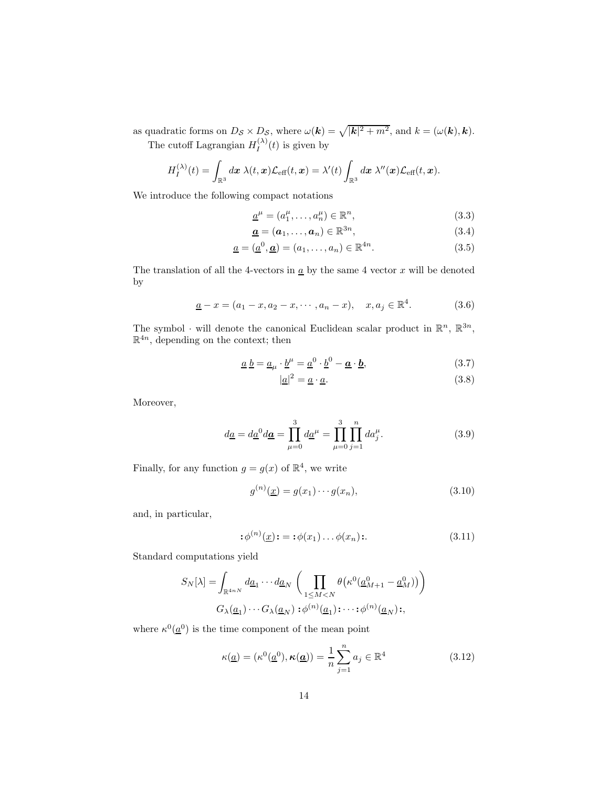as quadratic forms on  $D_S \times D_S$ , where  $\omega(\mathbf{k}) = \sqrt{|\mathbf{k}|^2 + m^2}$ , and  $k = (\omega(\mathbf{k}), \mathbf{k})$ . The cutoff Lagrangian  $H_I^{(\lambda)}$  $I_I^{(\lambda)}(t)$  is given by

$$
H_I^{(\lambda)}(t)=\int_{\mathbb{R}^3}d\boldsymbol{x}\;\lambda(t,\boldsymbol{x})\mathcal{L}_{\text{eff}}(t,\boldsymbol{x})=\lambda'(t)\int_{\mathbb{R}^3}d\boldsymbol{x}\;\lambda''(\boldsymbol{x})\mathcal{L}_{\text{eff}}(t,\boldsymbol{x}).
$$

We introduce the following compact notations

<span id="page-13-0"></span>
$$
\underline{a}^{\mu} = (a_1^{\mu}, \dots, a_n^{\mu}) \in \mathbb{R}^n, \tag{3.3}
$$

$$
\underline{\mathbf{a}} = (\mathbf{a}_1, \dots, \mathbf{a}_n) \in \mathbb{R}^{3n},\tag{3.4}
$$

$$
\underline{a} = (\underline{a}^0, \underline{\mathbf{a}}) = (a_1, \dots, a_n) \in \mathbb{R}^{4n}.
$$
\n(3.5)

The translation of all the 4-vectors in  $\underline{a}$  by the same 4 vector x will be denoted by

$$
\underline{a} - x = (a_1 - x, a_2 - x, \cdots, a_n - x), \quad x, a_j \in \mathbb{R}^4.
$$
 (3.6)

The symbol  $\cdot$  will denote the canonical Euclidean scalar product in  $\mathbb{R}^n$ ,  $\mathbb{R}^{3n}$ ,  $\mathbb{R}^{4n}$ , depending on the context; then

$$
\underline{a}\ \underline{b} = \underline{a}_{\mu} \cdot \underline{b}^{\mu} = \underline{a}^{0} \cdot \underline{b}^{0} - \underline{a} \cdot \underline{b}, \tag{3.7}
$$

$$
|\underline{a}|^2 = \underline{a} \cdot \underline{a}.\tag{3.8}
$$

Moreover,

$$
d\underline{a} = d\underline{a}^0 d\underline{a} = \prod_{\mu=0}^3 d\underline{a}^\mu = \prod_{\mu=0}^3 \prod_{j=1}^n d a_j^\mu.
$$
 (3.9)

Finally, for any function  $g = g(x)$  of  $\mathbb{R}^4$ , we write

<span id="page-13-1"></span>
$$
g^{(n)}(\underline{x}) = g(x_1) \cdots g(x_n), \qquad (3.10)
$$

and, in particular,

$$
:\phi^{(n)}(\underline{x}):=:\phi(x_1)\dots\phi(x_n):.
$$
\n(3.11)

Standard computations yield

$$
S_N[\lambda] = \int_{\mathbb{R}^{4nN}} d\underline{a}_1 \cdots d\underline{a}_N \left( \prod_{1 \le M < N} \theta \big( \kappa^0(\underline{a}_{M+1}^0 - \underline{a}_M^0) \big) \right)
$$

$$
G_\lambda(\underline{a}_1) \cdots G_\lambda(\underline{a}_N) : \phi^{(n)}(\underline{a}_1) : \cdots : \phi^{(n)}(\underline{a}_N) : ,
$$

where  $\kappa^0(\underline{a}^0)$  is the time component of the mean point

$$
\kappa(\underline{a}) = (\kappa^0(\underline{a}^0), \kappa(\underline{a})) = \frac{1}{n} \sum_{j=1}^n a_j \in \mathbb{R}^4
$$
\n(3.12)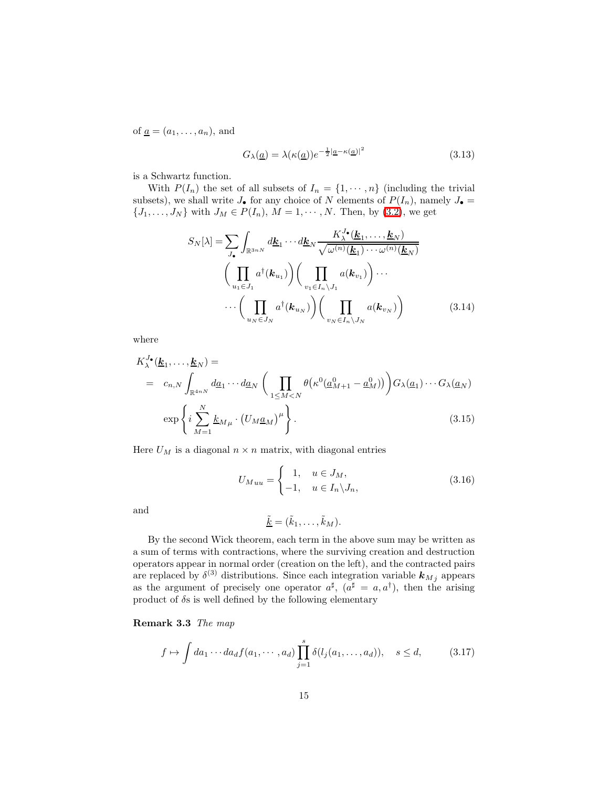<span id="page-14-3"></span>of  $\underline{a} = (a_1, \ldots, a_n)$ , and

$$
G_{\lambda}(\underline{a}) = \lambda(\kappa(\underline{a}))e^{-\frac{1}{2}|\underline{a}-\kappa(\underline{a})|^2}
$$
\n(3.13)

is a Schwartz function.

With  $P(I_n)$  the set of all subsets of  $I_n = \{1, \dots, n\}$  (including the trivial subsets), we shall write  $J_{\bullet}$  for any choice of N elements of  $P(I_n)$ , namely  $J_{\bullet} =$  $\{J_1, \ldots, J_N\}$  with  $J_M \in P(I_n)$ ,  $M = 1, \cdots, N$ . Then, by [\(3.2\)](#page-12-1), we get

$$
S_N[\lambda] = \sum_{J_{\bullet}} \int_{\mathbb{R}^{3n}} d\underline{k}_1 \cdots d\underline{k}_N \frac{K_{\lambda}^{J_{\bullet}}(\underline{k}_1, \dots, \underline{k}_N)}{\sqrt{\omega^{(n)}(\underline{k}_1) \cdots \omega^{(n)}(\underline{k}_N)}}
$$

$$
\left(\prod_{u_1 \in J_1} a^{\dagger}(\underline{k}_{u_1})\right) \left(\prod_{v_1 \in I_n \setminus J_1} a(\underline{k}_{v_1})\right) \cdots
$$

$$
\cdots \left(\prod_{u_N \in J_N} a^{\dagger}(\underline{k}_{u_N})\right) \left(\prod_{v_N \in I_n \setminus J_N} a(\underline{k}_{v_N})\right) \tag{3.14}
$$

<span id="page-14-1"></span>where

$$
K_{\lambda}^{J_{\bullet}}(\underline{k}_{1},\ldots,\underline{k}_{N}) =
$$
  
\n
$$
= c_{n,N} \int_{\mathbb{R}^{4n}} d\underline{a}_{1} \cdots d\underline{a}_{N} \left( \prod_{1 \leq M < N} \theta \left( \kappa^{0} (\underline{a}_{M+1}^{0} - \underline{a}_{M}^{0}) \right) \right) G_{\lambda}(\underline{a}_{1}) \cdots G_{\lambda}(\underline{a}_{N})
$$
  
\n
$$
\exp \left\{ i \sum_{M=1}^{N} \underline{k}_{M\mu} \cdot \left( U_{M}\underline{a}_{M} \right)^{\mu} \right\}.
$$
\n(3.15)

Here  $U_M$  is a diagonal  $n \times n$  matrix, with diagonal entries

<span id="page-14-2"></span>
$$
U_{Muu} = \begin{cases} 1, & u \in J_M, \\ -1, & u \in I_n \backslash J_n, \end{cases}
$$
 (3.16)

and

<span id="page-14-0"></span>
$$
\underline{\tilde{k}}=(\tilde{k}_1,\ldots,\tilde{k}_M).
$$

By the second Wick theorem, each term in the above sum may be written as a sum of terms with contractions, where the surviving creation and destruction operators appear in normal order (creation on the left), and the contracted pairs are replaced by  $\delta^{(3)}$  distributions. Since each integration variable  $k_{Mj}$  appears as the argument of precisely one operator  $a^{\sharp}$ ,  $(a^{\sharp} = a, a^{\dagger})$ , then the arising product of  $\delta s$  is well defined by the following elementary

Remark 3.3 *The map*

$$
f \mapsto \int da_1 \cdots da_d f(a_1, \cdots, a_d) \prod_{j=1}^s \delta(l_j(a_1, \ldots, a_d)), \quad s \le d,
$$
 (3.17)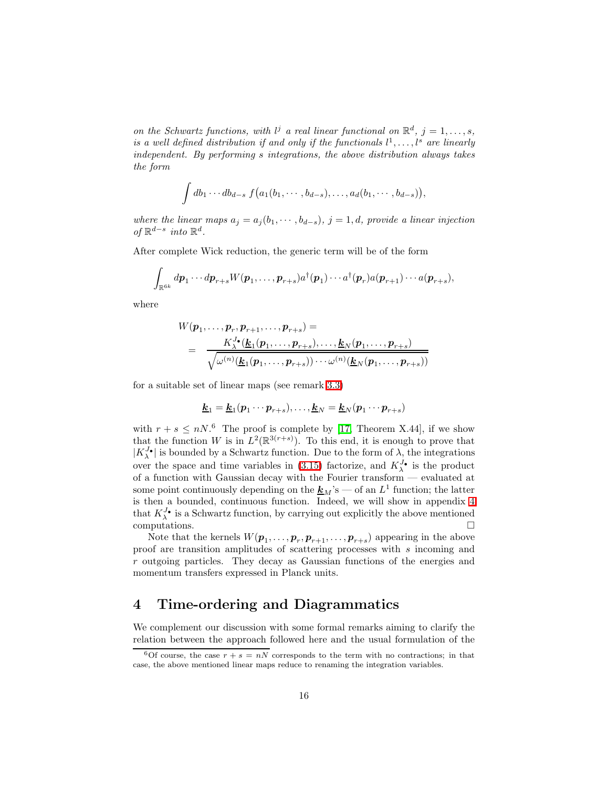*on the Schwartz functions, with*  $l^j$  *a real linear functional on*  $\mathbb{R}^d$ *,*  $j = 1, ..., s$ *,* is a well defined distribution if and only if the functionals  $l^1, \ldots, l^s$  are linearly *independent. By performing* s *integrations, the above distribution always takes the form*

$$
\int db_1 \cdots db_{d-s} f(a_1(b_1, \cdots, b_{d-s}), \ldots, a_d(b_1, \cdots, b_{d-s})),
$$

*where the linear maps*  $a_j = a_j(b_1, \dots, b_{d-s})$ ,  $j = 1, d$ , provide a linear injection *of*  $\mathbb{R}^{d-s}$  *into*  $\mathbb{R}^d$ *.* 

After complete Wick reduction, the generic term will be of the form

$$
\int_{\mathbb{R}^{6k}} dp_1 \cdots dp_{r+s} W(p_1, \ldots, p_{r+s}) a^{\dagger}(p_1) \cdots a^{\dagger}(p_r) a(p_{r+1}) \cdots a(p_{r+s}),
$$

where

$$
W(\boldsymbol{p}_1,\ldots,\boldsymbol{p}_r,\boldsymbol{p}_{r+1},\ldots,\boldsymbol{p}_{r+s}) =
$$
  
= 
$$
\frac{K_{\lambda}^{J_{\bullet}}(\underline{\boldsymbol{k}}_1(\boldsymbol{p}_1,\ldots,\boldsymbol{p}_{r+s}),\ldots,\underline{\boldsymbol{k}}_N(\boldsymbol{p}_1,\ldots,\boldsymbol{p}_{r+s})}{\sqrt{\omega^{(n)}(\underline{\boldsymbol{k}}_1(\boldsymbol{p}_1,\ldots,\boldsymbol{p}_{r+s}))\cdots\omega^{(n)}(\underline{\boldsymbol{k}}_N(\boldsymbol{p}_1,\ldots,\boldsymbol{p}_{r+s}))}}
$$

for a suitable set of linear maps (see remark [3.3\)](#page-14-0)

$$
\underline{\mathbf{k}}_1 = \underline{\mathbf{k}}_1(\mathbf{p}_1 \cdots \mathbf{p}_{r+s}), \ldots, \underline{\mathbf{k}}_N = \underline{\mathbf{k}}_N(\mathbf{p}_1 \cdots \mathbf{p}_{r+s})
$$

with  $r + s \leq nN$ . The proof is complete by [\[17,](#page-22-2) Theorem X.44], if we show that the function W is in  $L^2(\mathbb{R}^{3(r+s)})$ . To this end, it is enough to prove that  $|K_{\lambda}^{J_{\bullet}}|$  is bounded by a Schwartz function. Due to the form of  $\lambda$ , the integrations over the space and time variables in [\(3.15\)](#page-14-1) factorize, and  $K_{\lambda}^{J_{\bullet}}$  is the product of a function with Gaussian decay with the Fourier transform — evaluated at some point continuously depending on the  $\underline{\mathbf{k}}_M$ 's — of an  $L^1$  function; the latter is then a bounded, continuous function. Indeed, we will show in appendix [4](#page-18-0) that  $K_{\lambda}^{J_{\bullet}}$  is a Schwartz function, by carrying out explicitly the above mentioned computations.  $\Box$ 

Note that the kernels  $W(\boldsymbol{p}_1, \ldots, \boldsymbol{p}_r, \boldsymbol{p}_{r+1}, \ldots, \boldsymbol{p}_{r+s})$  appearing in the above proof are transition amplitudes of scattering processes with s incoming and r outgoing particles. They decay as Gaussian functions of the energies and momentum transfers expressed in Planck units.

### <span id="page-15-0"></span>4 Time-ordering and Diagrammatics

We complement our discussion with some formal remarks aiming to clarify the relation between the approach followed here and the usual formulation of the

<sup>&</sup>lt;sup>6</sup>Of course, the case  $r + s = nN$  corresponds to the term with no contractions; in that case, the above mentioned linear maps reduce to renaming the integration variables.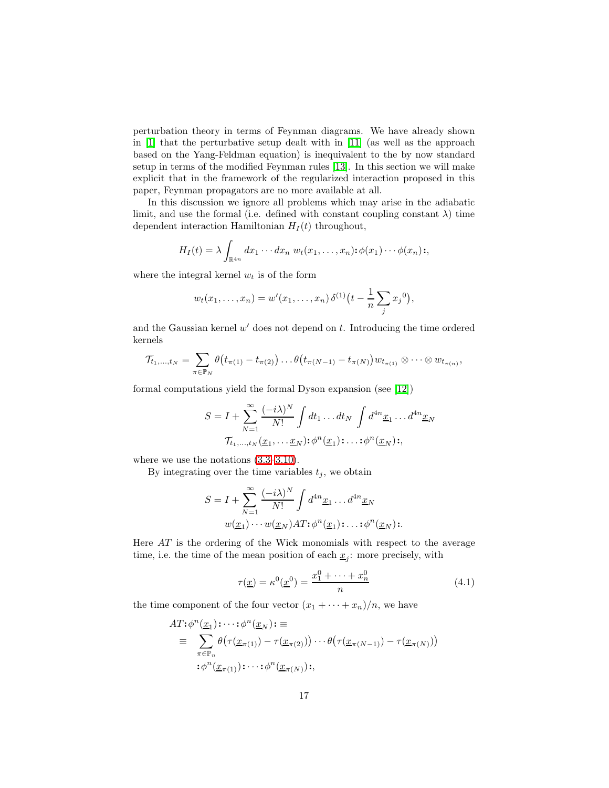perturbation theory in terms of Feynman diagrams. We have already shown in [\[1\]](#page-20-0) that the perturbative setup dealt with in [\[11\]](#page-21-0) (as well as the approach based on the Yang-Feldman equation) is inequivalent to the by now standard setup in terms of the modified Feynman rules [\[13\]](#page-21-9). In this section we will make explicit that in the framework of the regularized interaction proposed in this paper, Feynman propagators are no more available at all.

In this discussion we ignore all problems which may arise in the adiabatic limit, and use the formal (i.e. defined with constant coupling constant  $\lambda$ ) time dependent interaction Hamiltonian  $H_I(t)$  throughout,

$$
H_I(t) = \lambda \int_{\mathbb{R}^{4n}} dx_1 \cdots dx_n w_t(x_1,\ldots,x_n) \mathbf{:} \phi(x_1) \cdots \phi(x_n) \mathbf{:},
$$

where the integral kernel  $w_t$  is of the form

$$
w_t(x_1,...,x_n) = w'(x_1,...,x_n) \delta^{(1)}(t - \frac{1}{n} \sum_j x_j^0),
$$

and the Gaussian kernel  $w'$  does not depend on  $t$ . Introducing the time ordered kernels

$$
\mathcal{T}_{t_1,...,t_N} = \sum_{\pi \in \mathbb{P}_N} \theta(t_{\pi(1)} - t_{\pi(2)}) \dots \theta(t_{\pi(N-1)} - t_{\pi(N)}) w_{t_{\pi(1)}} \otimes \dots \otimes w_{t_{\pi(n)}},
$$

formal computations yield the formal Dyson expansion (see [\[12\]](#page-21-8))

$$
S = I + \sum_{N=1}^{\infty} \frac{(-i\lambda)^N}{N!} \int dt_1 \dots dt_N \int d^{4n} \underline{x}_1 \dots d^{4n} \underline{x}_N
$$

$$
\mathcal{T}_{t_1,\dots,t_N}(\underline{x}_1,\dots,\underline{x}_N) : \phi^n(\underline{x}_1) : \dots : \phi^n(\underline{x}_N) : ,
$$

where we use the notations  $(3.3-3.10)$ .

By integrating over the time variables  $t_j$ , we obtain

$$
S = I + \sum_{N=1}^{\infty} \frac{(-i\lambda)^N}{N!} \int d^{4n} \underline{x}_1 \dots d^{4n} \underline{x}_N
$$

$$
w(\underline{x}_1) \dots w(\underline{x}_N) A T : \phi^n(\underline{x}_1) \dots : \phi^n(\underline{x}_N) \dots
$$

Here AT is the ordering of the Wick monomials with respect to the average time, i.e. the time of the mean position of each  $\underline{x}_j$ : more precisely, with

$$
\tau(\underline{x}) = \kappa^0(\underline{x}^0) = \frac{x_1^0 + \dots + x_n^0}{n}
$$
\n(4.1)

the time component of the four vector  $(x_1 + \cdots + x_n)/n$ , we have

$$
AT:\phi^{n}(\underline{x}_{1})\cdots:\phi^{n}(\underline{x}_{N})\mathpunct{:} \equiv
$$
  
\n
$$
\equiv \sum_{\pi\in\mathbb{P}_{n}} \theta\big(\tau(\underline{x}_{\pi(1)})-\tau(\underline{x}_{\pi(2)})\big)\cdots\theta\big(\tau(\underline{x}_{\pi(N-1)})-\tau(\underline{x}_{\pi(N)})\big)
$$
  
\n
$$
:\phi^{n}(\underline{x}_{\pi(1)})\mathpunct{:}\cdots:\phi^{n}(\underline{x}_{\pi(N)})\mathpunct{:},
$$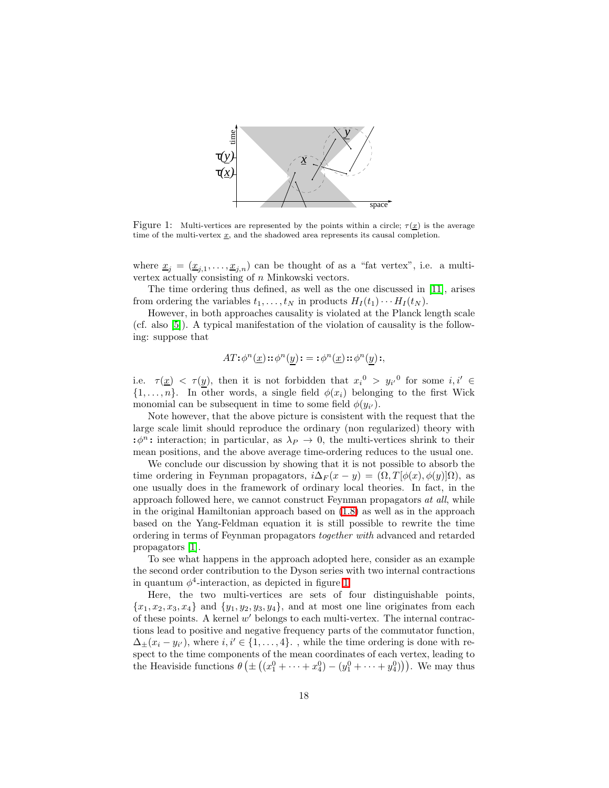

<span id="page-17-0"></span>Figure 1: Multi-vertices are represented by the points within a circle;  $\tau(\underline{x})$  is the average time of the multi-vertex  $\underline{x}$ , and the shadowed area represents its causal completion.

where  $\underline{x}_j = (\underline{x}_{j,1}, \ldots, \underline{x}_{j,n})$  can be thought of as a "fat vertex", i.e. a multivertex actually consisting of n Minkowski vectors.

The time ordering thus defined, as well as the one discussed in [\[11\]](#page-21-0), arises from ordering the variables  $t_1, \ldots, t_N$  in products  $H_I(t_1) \cdots H_I(t_N)$ .

However, in both approaches causality is violated at the Planck length scale (cf. also [\[5\]](#page-21-14)). A typical manifestation of the violation of causality is the following: suppose that

$$
AT \colon \phi^n(\underline{x}) \colon \phi^n(y) \colon \colon \phi^n(\underline{x}) \colon \phi^n(y) \colon \colon
$$

i.e.  $\tau(\underline{x}) \leq \tau(\underline{y})$ , then it is not forbidden that  $x_i^0 > y_{i'}^0$  for some  $i, i' \in$  $\{1,\ldots,n\}$ . In other words, a single field  $\phi(x_i)$  belonging to the first Wick monomial can be subsequent in time to some field  $\phi(y_{i}).$ 

Note however, that the above picture is consistent with the request that the large scale limit should reproduce the ordinary (non regularized) theory with  $:\phi^n$ : interaction; in particular, as  $\lambda_P \to 0$ , the multi-vertices shrink to their mean positions, and the above average time-ordering reduces to the usual one.

We conclude our discussion by showing that it is not possible to absorb the time ordering in Feynman propagators,  $i\Delta_F(x-y) = (\Omega, T[\phi(x), \phi(y)]\Omega)$ , as one usually does in the framework of ordinary local theories. In fact, in the approach followed here, we cannot construct Feynman propagators *at all*, while in the original Hamiltonian approach based on [\(1.8\)](#page-3-1) as well as in the approach based on the Yang-Feldman equation it is still possible to rewrite the time ordering in terms of Feynman propagators *together with* advanced and retarded propagators [\[1\]](#page-20-0).

To see what happens in the approach adopted here, consider as an example the second order contribution to the Dyson series with two internal contractions in quantum  $\phi^4$ -interaction, as depicted in figure [1.](#page-17-0)

Here, the two multi-vertices are sets of four distinguishable points,  ${x_1, x_2, x_3, x_4}$  and  ${y_1, y_2, y_3, y_4}$ , and at most one line originates from each of these points. A kernel  $w'$  belongs to each multi-vertex. The internal contractions lead to positive and negative frequency parts of the commutator function,  $\Delta_{\pm}(x_i - y_{i'})$ , where  $i, i' \in \{1, \ldots, 4\}$ ., while the time ordering is done with respect to the time components of the mean coordinates of each vertex, leading to the Heaviside functions  $\theta \left( \pm \left( (x_1^0 + \cdots + x_4^0) - (y_1^0 + \cdots + y_4^0) \right) \right)$ . We may thus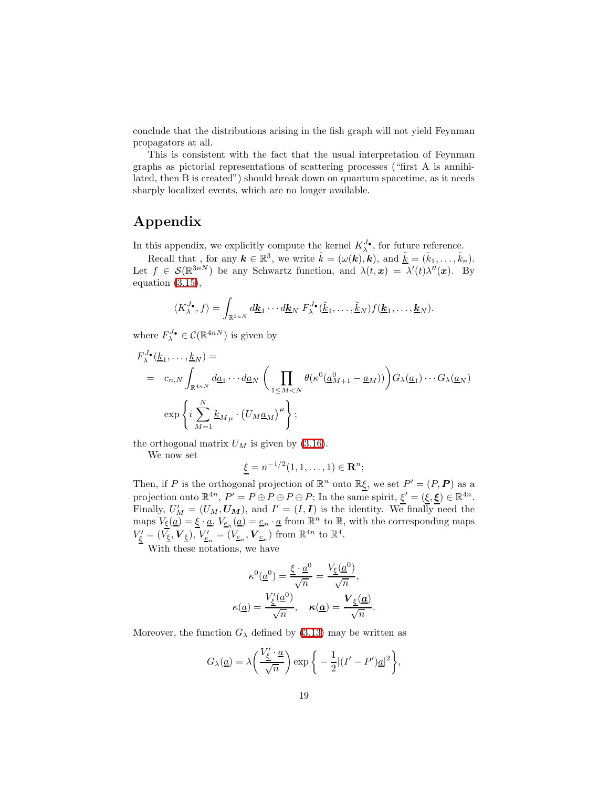conclude that the distributions arising in the fish graph will not yield Feynman propagators at all.

This is consistent with the fact that the usual interpretation of Feynman graphs as pictorial representations of scattering processes ("first A is annihilated, then B is created") should break down on quantum spacetime, as it needs sharply localized events, which are no longer available.

### Appendix

<span id="page-18-0"></span>In this appendix, we explicitly compute the kernel  $K_{\lambda}^{J_{\bullet}}$ , for future reference.

Recall that, for any  $k \in \mathbb{R}^3$ , we write  $\tilde{k} = (\omega(k), k)$ , and  $\underline{\tilde{k}} = (\tilde{k}_1, \ldots, \tilde{k}_n)$ . Let  $f \in \mathcal{S}(\mathbb{R}^{3n})$  be any Schwartz function, and  $\lambda(t, x) = \lambda'(t)\lambda''(x)$ . By equation [\(3.15\)](#page-14-1),

$$
\langle K_{\lambda}^{J_{\bullet}},f\rangle=\int_{\mathbb{R}^{3nN}}d\underline{\mathbf{k}}_1\cdots d\underline{\mathbf{k}}_N\ F_{\lambda}^{J_{\bullet}}(\tilde{\underline{k}}_1,\ldots,\tilde{\underline{k}}_N)f(\underline{\mathbf{k}}_1,\ldots,\underline{\mathbf{k}}_N).
$$

where  $F_{\lambda}^{J_{\bullet}} \in \mathcal{C}(\mathbb{R}^{4n})$  is given by

$$
F_{\lambda}^{J_{\bullet}}(\underline{k}_{1},\ldots,\underline{k}_{N}) =
$$
  
=  $c_{n,N} \int_{\mathbb{R}^{4nN}} d\underline{a}_{1} \cdots d\underline{a}_{N} \left( \prod_{1 \leq M < N} \theta(\kappa^{0}(\underline{a}_{M+1}^{0} - \underline{a}_{M})) \right) G_{\lambda}(\underline{a}_{1}) \cdots G_{\lambda}(\underline{a}_{N})$   

$$
\exp \left\{ i \sum_{M=1}^{N} \underline{k}_{M\mu} \cdot \left( U_{M}\underline{a}_{M} \right)^{\mu} \right\};
$$

the orthogonal matrix  $U_M$  is given by [\(3.16\)](#page-14-2).

We now set

$$
\underline{\xi} = n^{-1/2}(1, 1, \dots, 1) \in \mathbf{R}^n;
$$

Then, if P is the orthogonal projection of  $\mathbb{R}^n$  onto  $\mathbb{R}\xi$ , we set  $P' = (P, P)$  as a projection onto  $\mathbb{R}^{4n}$ ,  $P' = P \oplus P \oplus P$ ; In the same spirit,  $\underline{\xi}' = (\underline{\xi}, \underline{\xi}) \in \mathbb{R}^{4n}$ . Finally,  $U'_M = (U_M, U_M)$ , and  $I' = (I, I)$  is the identity. We finally need the maps  $V_{\underline{\xi}}(\underline{a}) = \underline{\xi} \cdot \underline{a}, V_{\underline{e}_n}(\underline{a}) = \underline{e}_n \cdot \underline{a}$  from  $\mathbb{R}^n$  to  $\mathbb{R}$ , with the corresponding maps  $V'_{\underline{\xi}} = (\overline{V_{\underline{\xi}}}, \mathbf{V}_{\underline{\xi}}), V'_{\underline{e}_n} = (V_{\underline{e}_n}, \mathbf{V}_{\underline{e}_n})$  from  $\mathbb{R}^{4n}$  to  $\mathbb{R}^4$ .

With these notations, we have

$$
\kappa^{0}(\underline{a}^{0}) = \frac{\underline{\xi} \cdot \underline{a}^{0}}{\sqrt{n}} = \frac{V_{\underline{\xi}}(\underline{a}^{0})}{\sqrt{n}},
$$

$$
\kappa(\underline{a}) = \frac{V'_{\underline{\xi}}(\underline{a}^{0})}{\sqrt{n}}, \quad \kappa(\underline{a}) = \frac{\mathbf{V}_{\underline{\xi}}(\underline{a})}{\sqrt{n}}
$$

.

Moreover, the function  $G_{\lambda}$  defined by [\(3.13\)](#page-14-3) may be written as

$$
G_{\lambda}(\underline{a}) = \lambda \left( \frac{V_{\underline{\xi}}' \cdot \underline{a}}{\sqrt{n}} \right) \exp \left\{ -\frac{1}{2} |(I' - P')\underline{a}|^2 \right\},\,
$$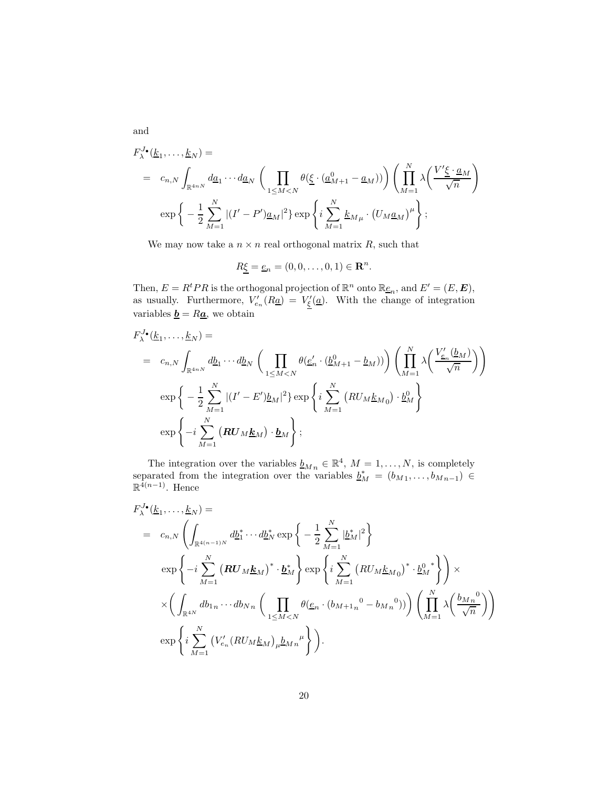and

$$
F_{\lambda}^{J_{\bullet}}(\underline{k}_{1},\ldots,\underline{k}_{N}) =
$$
  
\n
$$
= c_{n,N} \int_{\mathbb{R}^{4n}} d\underline{a}_{1} \cdots d\underline{a}_{N} \left( \prod_{1 \leq M < N} \theta(\underline{\xi} \cdot (\underline{a}_{M+1}^{0} - \underline{a}_{M})) \right) \left( \prod_{M=1}^{N} \lambda \left( \frac{V' \underline{\xi} \cdot \underline{a}_{M}}{\sqrt{n}} \right) \right)
$$
  
\n
$$
\exp \left\{ -\frac{1}{2} \sum_{M=1}^{N} |(I' - P') \underline{a}_{M}|^{2} \right\} \exp \left\{ i \sum_{M=1}^{N} \underline{k}_{M} \mu \cdot (U_{M} \underline{a}_{M})^{\mu} \right\};
$$

We may now take a  $n \times n$  real orthogonal matrix  $R$ , such that

$$
R\underline{\xi} = \underline{e}_n = (0, 0, \dots, 0, 1) \in \mathbf{R}^n
$$

.

Then,  $E = R^t P R$  is the orthogonal projection of  $\mathbb{R}^n$  onto  $\mathbb{R} e_n$ , and  $E' = (E, \mathbf{E})$ , as usually. Furthermore,  $V'_{e_n}(R\underline{a}) = V'_{\xi}(\underline{a})$ . With the change of integration variables  $\underline{\mathbf{b}} = R \underline{\mathbf{a}}$ , we obtain

$$
F_{\lambda}^{J_{\bullet}}(\underline{k}_{1},\ldots,\underline{k}_{N}) =
$$
\n
$$
= c_{n,N} \int_{\mathbb{R}^{4nN}} d\underline{b}_{1} \cdots d\underline{b}_{N} \left( \prod_{1 \leq M < N} \theta(\underline{e}'_{n} \cdot (\underline{b}_{M+1}^{0} - \underline{b}_{M})) \right) \left( \prod_{M=1}^{N} \lambda \left( \frac{V'_{\underline{e}_{n}}(\underline{b}_{M})}{\sqrt{n}} \right) \right)
$$
\n
$$
\exp \left\{ -\frac{1}{2} \sum_{M=1}^{N} |(I' - E')\underline{b}_{M}|^{2} \right\} \exp \left\{ i \sum_{M=1}^{N} (RU_{M} \underline{k}_{M_{0}}) \cdot \underline{b}_{M}^{0} \right\}
$$
\n
$$
\exp \left\{ -i \sum_{M=1}^{N} (RU_{M} \underline{k}_{M}) \cdot \underline{b}_{M} \right\};
$$

The integration over the variables  $\underline{b}_{M_n} \in \mathbb{R}^4$ ,  $M = 1, ..., N$ , is completely separated from the integration over the variables  $\underline{b}_M^* = (b_{M_1}, \ldots, b_{M_{n-1}}) \in \mathbb{R}^{4(n-1)}$ . Hence

$$
F_{\lambda}^{J_{\bullet}}(\underline{k}_{1},..., \underline{k}_{N}) =
$$
\n
$$
= c_{n,N} \left( \int_{\mathbb{R}^{4(n-1)N}} d\underline{b}_{1}^{*} \cdots d\underline{b}_{N}^{*} \exp \left\{ -\frac{1}{2} \sum_{M=1}^{N} |\underline{b}_{M}^{*}|^{2} \right\}
$$
\n
$$
\exp \left\{ -i \sum_{M=1}^{N} \left( \mathbf{R} \mathbf{U}_{M} \underline{\mathbf{k}}_{M} \right)^{*} \cdot \underline{\mathbf{b}}_{M}^{*} \right\} \exp \left\{ i \sum_{M=1}^{N} \left( R \mathbf{U}_{M} \underline{k}_{M_{0}} \right)^{*} \cdot \underline{b}_{M}^{0,*} \right\} \right) \times
$$
\n
$$
\times \left( \int_{\mathbb{R}^{4N}} d b_{1n} \cdots d b_{Nn} \left( \prod_{1 \leq M < N} \theta (\underline{e}_{n} \cdot (b_{M+1_{n}}^{0} - b_{M_{n}}^{0})) \right) \left( \prod_{M=1}^{N} \lambda \left( \frac{b_{M_{n}}^{0}}{\sqrt{n}} \right) \right)
$$
\n
$$
\exp \left\{ i \sum_{M=1}^{N} \left( V_{e_{n}}^{\prime} (R \mathbf{U}_{M} \underline{\mathbf{k}}_{M})_{\mu} \underline{b}_{M_{n}}^{\mu} \right\} \right).
$$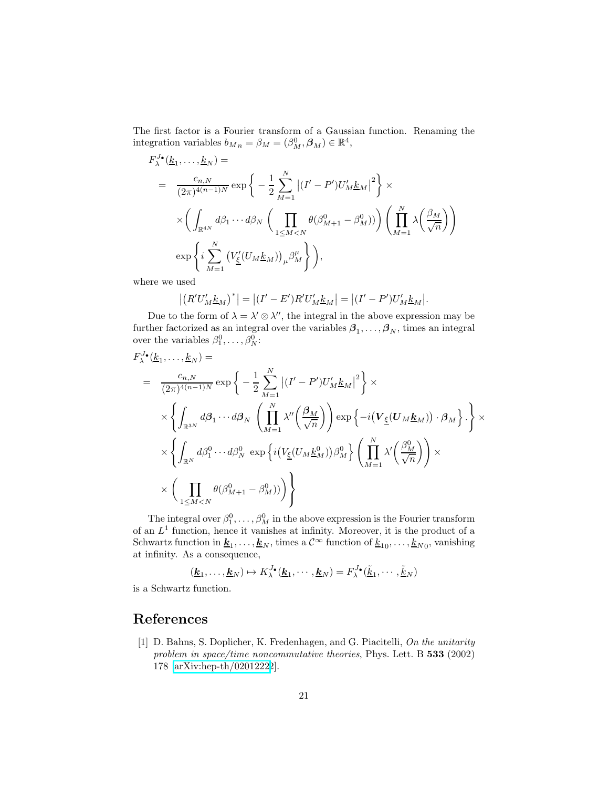The first factor is a Fourier transform of a Gaussian function. Renaming the integration variables  $b_{Mn} = \beta_M = (\beta_M^0, \beta_M) \in \mathbb{R}^4$ ,

$$
F_{\lambda}^{J_{\bullet}}(\underline{k}_{1},\ldots,\underline{k}_{N}) =
$$
\n
$$
= \frac{c_{n,N}}{(2\pi)^{4(n-1)N}} \exp\left\{-\frac{1}{2} \sum_{M=1}^{N} \left| (I'-P')U'_{M}\underline{k}_{M} \right|^{2} \right\} \times
$$
\n
$$
\times \left( \int_{\mathbb{R}^{4N}} d\beta_{1} \cdots d\beta_{N} \left( \prod_{1 \leq M < N} \theta(\beta_{M+1}^{0} - \beta_{M}^{0}) \right) \left( \prod_{M=1}^{N} \lambda \left( \frac{\beta_{M}}{\sqrt{n}} \right) \right)
$$
\n
$$
\exp\left\{ i \sum_{M=1}^{N} \left( V_{\underline{\xi}}'(U_{M}\underline{k}_{M}) \right)_{\mu} \beta_{M}^{\mu} \right\} \right),
$$

where we used

$$
|(R'U'_{M} \underline{k}_{M})^{*}| = |(I' - E')R'U'_{M} \underline{k}_{M}| = |(I' - P')U'_{M} \underline{k}_{M}|.
$$

Due to the form of  $\lambda = \lambda' \otimes \lambda''$ , the integral in the above expression may be further factorized as an integral over the variables  $\beta_1, \ldots, \beta_N$ , times an integral over the variables  $\beta_1^0, \ldots, \beta_N^0$ :

$$
F_{\lambda}^{J_{\bullet}}(\underline{k}_{1},\ldots,\underline{k}_{N}) =
$$
\n
$$
= \frac{c_{n,N}}{(2\pi)^{4(n-1)N}} \exp\left\{-\frac{1}{2} \sum_{M=1}^{N} |(I'-P')U'_{M}\underline{k}_{M}|^{2}\right\} \times
$$
\n
$$
\times \left\{\int_{\mathbb{R}^{3N}} d\beta_{1} \cdots d\beta_{N} \left(\prod_{M=1}^{N} \lambda''\left(\frac{\beta_{M}}{\sqrt{n}}\right)\right) \exp\left\{-i(V_{\underline{\xi}}(U_{M}\underline{k}_{M})) \cdot \beta_{M}\right\}.\right\} \times
$$
\n
$$
\times \left\{\int_{\mathbb{R}^{N}} d\beta_{1}^{0} \cdots d\beta_{N}^{0} \exp\left\{i(V_{\underline{\xi}}(U_{M}\underline{k}_{M}^{0}))\beta_{M}^{0}\right\}\left(\prod_{M=1}^{N} \lambda'\left(\frac{\beta_{M}^{0}}{\sqrt{n}}\right)\right) \times
$$
\n
$$
\times \left(\prod_{1 \leq M < N} \theta(\beta_{M+1}^{0} - \beta_{M}^{0}))\right)\right\}
$$

The integral over  $\beta_1^0, \ldots, \beta_M^0$  in the above expression is the Fourier transform of an  $L^1$  function, hence it vanishes at infinity. Moreover, it is the product of a Schwartz function in  $\underline{\mathbf{k}}_1, \ldots, \underline{\mathbf{k}}_N$ , times a  $C^{\infty}$  function of  $\underline{k}_{10}, \ldots, \underline{k}_{N0}$ , vanishing at infinity. As a consequence,

$$
(\underline{\mathbf{k}}_1,\ldots,\underline{\mathbf{k}}_N)\mapsto K_{\lambda}^{J_{\bullet}}(\underline{\mathbf{k}}_1,\cdots,\underline{\mathbf{k}}_N)=F_{\lambda}^{J_{\bullet}}(\underline{\tilde{k}}_1,\cdots,\underline{\tilde{k}}_N)
$$

is a Schwartz function.

### <span id="page-20-0"></span>References

[1] D. Bahns, S. Doplicher, K. Fredenhagen, and G. Piacitelli, *On the unitarity problem in space/time noncommutative theories*, Phys. Lett. B 533 (2002) 178 [\[arXiv:hep-th/02012222](http://arxiv.org/abs/hep-th/0201222)].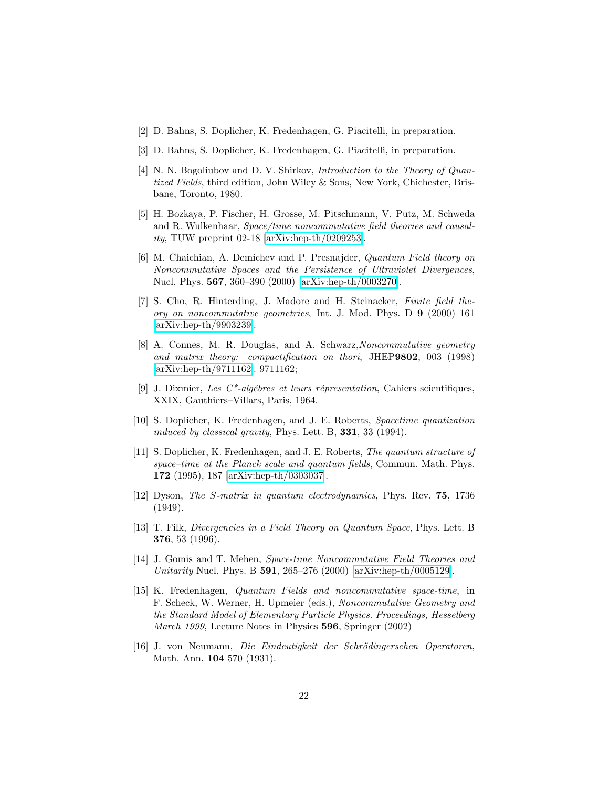- <span id="page-21-12"></span><span id="page-21-3"></span>[2] D. Bahns, S. Doplicher, K. Fredenhagen, G. Piacitelli, in preparation.
- <span id="page-21-13"></span>[3] D. Bahns, S. Doplicher, K. Fredenhagen, G. Piacitelli, in preparation.
- [4] N. N. Bogoliubov and D. V. Shirkov, *Introduction to the Theory of Quantized Fields*, third edition, John Wiley & Sons, New York, Chichester, Brisbane, Toronto, 1980.
- <span id="page-21-14"></span>[5] H. Bozkaya, P. Fischer, H. Grosse, M. Pitschmann, V. Putz, M. Schweda and R. Wulkenhaar, *Space/time noncommutative field theories and causality*, TUW preprint 02-18 [\[arXiv:hep-th/0209253\]](http://arxiv.org/abs/hep-th/0209253).
- <span id="page-21-11"></span>[6] M. Chaichian, A. Demichev and P. Presnajder, *Quantum Field theory on Noncommutative Spaces and the Persistence of Ultraviolet Divergences*, Nucl. Phys. 567, 360–390 (2000) [\[arXiv:hep-th/0003270\]](http://arxiv.org/abs/hep-th/0003270).
- <span id="page-21-5"></span>[7] S. Cho, R. Hinterding, J. Madore and H. Steinacker, *Finite field theory on noncommutative geometries*, Int. J. Mod. Phys. D 9 (2000) 161 [\[arXiv:hep-th/9903239\]](http://arxiv.org/abs/hep-th/9903239).
- <span id="page-21-2"></span>[8] A. Connes, M. R. Douglas, and A. Schwarz,*Noncommutative geometry and matrix theory: compactification on thori*, JHEP9802, 003 (1998) [\[arXiv:hep-th/9711162\]](http://arxiv.org/abs/hep-th/9711162). 9711162;
- <span id="page-21-6"></span>[9] J. Dixmier, *Les C\*-algébres et leurs répresentation*, Cahiers scientifiques, XXIX, Gauthiers–Villars, Paris, 1964.
- <span id="page-21-1"></span>[10] S. Doplicher, K. Fredenhagen, and J. E. Roberts, *Spacetime quantization induced by classical gravity*, Phys. Lett. B, 331, 33 (1994).
- <span id="page-21-0"></span>[11] S. Doplicher, K. Fredenhagen, and J. E. Roberts, *The quantum structure of space–time at the Planck scale and quantum fields*, Commun. Math. Phys. 172 (1995), 187 [\[arXiv:hep-th/0303037\]](http://arxiv.org/abs/hep-th/0303037).
- <span id="page-21-8"></span>[12] Dyson, *The* S*-matrix in quantum electrodynamics*, Phys. Rev. 75, 1736 (1949).
- <span id="page-21-9"></span>[13] T. Filk, *Divergencies in a Field Theory on Quantum Space*, Phys. Lett. B 376, 53 (1996).
- <span id="page-21-10"></span>[14] J. Gomis and T. Mehen, *Space-time Noncommutative Field Theories and Unitarity* Nucl. Phys. B 591, 265–276 (2000) [\[arXiv:hep-th/0005129\]](http://arxiv.org/abs/hep-th/0005129).
- <span id="page-21-4"></span>[15] K. Fredenhagen, *Quantum Fields and noncommutative space-time*, in F. Scheck, W. Werner, H. Upmeier (eds.), *Noncommutative Geometry and the Standard Model of Elementary Particle Physics. Proceedings, Hesselberg March 1999*, Lecture Notes in Physics 596, Springer (2002)
- <span id="page-21-7"></span>[16] J. von Neumann, *Die Eindeutigkeit der Schrödingerschen Operatoren*, Math. Ann. 104 570 (1931).